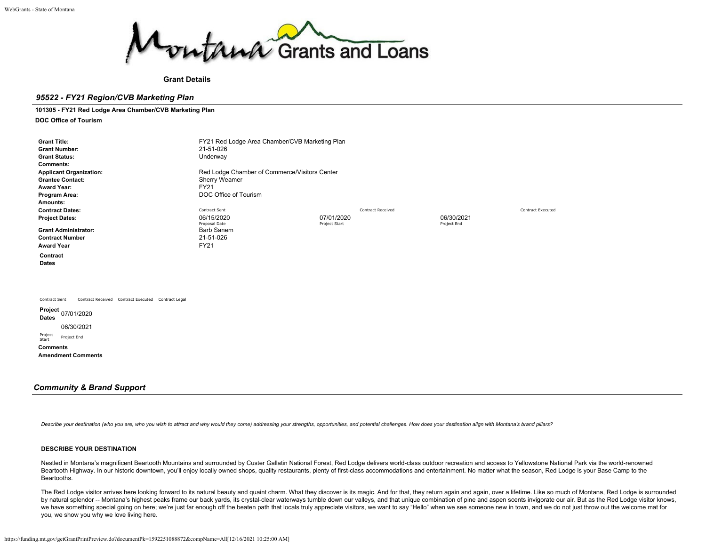

**Grant Details**

# *95522 - FY21 Region/CVB Marketing Plan*

# **101305 - FY21 Red Lodge Area Chamber/CVB Marketing Plan**

**DOC Office of Tourism**

| <b>Grant Title:</b><br><b>Grant Number:</b><br><b>Grant Status:</b><br><b>Comments:</b><br><b>Applicant Organization:</b><br><b>Grantee Contact:</b><br><b>Award Year:</b><br>Program Area:<br>Amounts: | FY21 Red Lodge Area Chamber/CVB Marketing Plan<br>21-51-026<br>Underway<br>Red Lodge Chamber of Commerce/Visitors Center<br>Sherry Weamer<br><b>FY21</b><br>DOC Office of Tourism |                          |                          |
|---------------------------------------------------------------------------------------------------------------------------------------------------------------------------------------------------------|-----------------------------------------------------------------------------------------------------------------------------------------------------------------------------------|--------------------------|--------------------------|
| <b>Contract Dates:</b>                                                                                                                                                                                  | Contract Sent                                                                                                                                                                     | <b>Contract Received</b> | <b>Contract Executed</b> |
| <b>Project Dates:</b>                                                                                                                                                                                   | 06/15/2020                                                                                                                                                                        | 07/01/2020               | 06/30/2021               |
| <b>Grant Administrator:</b><br><b>Contract Number</b><br><b>Award Year</b><br>Contract<br><b>Dates</b>                                                                                                  | Proposal Date<br><b>Barb Sanem</b><br>21-51-026<br>FY21                                                                                                                           | Project Start            | Project End              |
| Contract Sent<br>Contract Received Contract Executed Contract Legal<br>Project 07/01/2020<br><b>Dates</b>                                                                                               |                                                                                                                                                                                   |                          |                          |
| 06/30/2021<br>Project<br>Project End                                                                                                                                                                    |                                                                                                                                                                                   |                          |                          |
| Start<br><b>Comments</b><br><b>Amendment Comments</b>                                                                                                                                                   |                                                                                                                                                                                   |                          |                          |

# *Community & Brand Support*

Describe your destination (who you are, who you wish to attract and why would they come) addressing your strengths, opportunities, and potential challenges. How does your destination align with Montana's brand pillars?

# **DESCRIBE YOUR DESTINATION**

Nestled in Montana's magnificent Beartooth Mountains and surrounded by Custer Gallatin National Forest, Red Lodge delivers world-class outdoor recreation and access to Yellowstone National Park via the world-renowned Beartooth Highway. In our historic downtown, you'll enjoy locally owned shops, quality restaurants, plenty of first-class accommodations and entertainment. No matter what the season, Red Lodge is your Base Camp to the Beartooths.

The Red Lodge visitor arrives here looking forward to its natural beauty and quaint charm. What they discover is its magic. And for that, they return again and again, over a lifetime. Like so much of Montana, Red Lodge is by natural splendor -- Montana's highest peaks frame our back yards, its crystal-clear waterways tumble down our valleys, and that unique combination of pine and aspen scents invigorate our air. But as the Red Lodge visito we have something special going on here; we're just far enough off the beaten path that locals truly appreciate visitors, we want to say "Hello" when we see someone new in town, and we do not just throw out the welcome mat you, we show you why we love living here.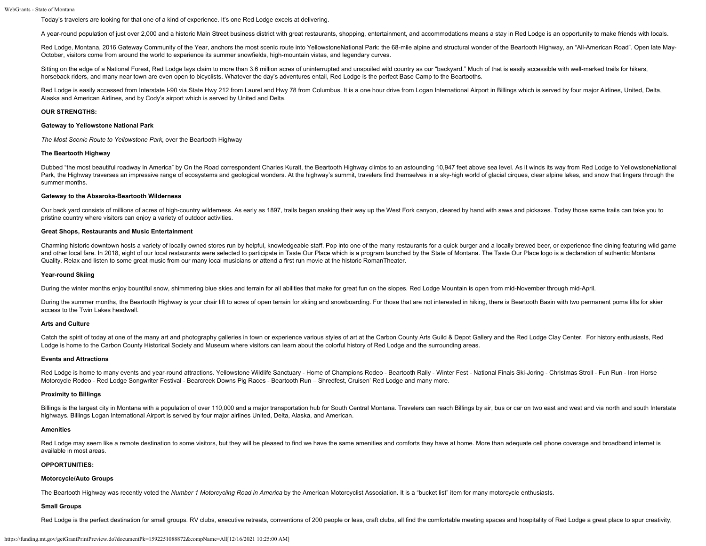Today's travelers are looking for that one of a kind of experience. It's one Red Lodge excels at delivering.

A year-round population of just over 2,000 and a historic Main Street business district with great restaurants, shopping, entertainment, and accommodations means a stay in Red Lodge is an opportunity to make friends with l

Red Lodge, Montana, 2016 Gateway Community of the Year, anchors the most scenic route into YellowstoneNational Park: the 68-mile alpine and structural wonder of the Beartooth Highway, an "All-American Road". Open late May-October, visitors come from around the world to experience its summer snowfields, high-mountain vistas, and legendary curves.

Sitting on the edge of a National Forest, Red Lodge lays claim to more than 3.6 million acres of uninterrupted and unspoiled wild country as our "backyard." Much of that is easily accessible with well-marked trails for hik horseback riders, and many near town are even open to bicyclists. Whatever the day's adventures entail, Red Lodge is the perfect Base Camp to the Beartooths.

Red Lodge is easily accessed from Interstate I-90 via State Hwy 212 from Laurel and Hwy 78 from Columbus. It is a one hour drive from Logan International Airport in Billings which is served by four major Airlines, United, Alaska and American Airlines, and by Cody's airport which is served by United and Delta.

#### **OUR STRENGTHS:**

# **Gateway to Yellowstone National Park**

*The Most Scenic Route to Yellowstone Park***,** over the Beartooth Highway

# **The Beartooth Highway**

Dubbed "the most beautiful roadway in America" by On the Road correspondent Charles Kuralt, the Beartooth Highway climbs to an astounding 10,947 feet above sea level. As it winds its way from Red Lodge to YellowstoneNation Park, the Highway traverses an impressive range of ecosystems and geological wonders. At the highway's summit, travelers find themselves in a sky-high world of glacial cirques, clear alpine lakes, and snow that lingers thr summer months.

### **Gateway to the Absaroka-Beartooth Wilderness**

Our back yard consists of millions of acres of high-country wilderness. As early as 1897, trails began snaking their way up the West Fork canyon, cleared by hand with saws and pickaxes. Today those same trails can take you pristine country where visitors can enjoy a variety of outdoor activities.

# **Great Shops, Restaurants and Music Entertainment**

Charming historic downtown hosts a variety of locally owned stores run by helpful, knowledgeable staff. Pop into one of the many restaurants for a quick burger and a locally brewed beer, or experience fine dining featuring and other local fare. In 2018, eight of our local restaurants were selected to participate in Taste Our Place which is a program launched by the State of Montana. The Taste Our Place logo is a declaration of authentic Mont Quality. Relax and listen to some great music from our many local musicians or attend a first run movie at the historic RomanTheater.

#### **Year-round Skiing**

During the winter months enjoy bountiful snow, shimmering blue skies and terrain for all abilities that make for great fun on the slopes. Red Lodge Mountain is open from mid-November through mid-April.

During the summer months, the Beartooth Highway is your chair lift to acres of open terrain for skiing and snowboarding. For those that are not interested in hiking, there is Beartooth Basin with two permanent poma lifts f access to the Twin Lakes headwall.

#### **Arts and Culture**

Catch the spirit of today at one of the many art and photography galleries in town or experience various styles of art at the Carbon County Arts Guild & Depot Gallery and the Red Lodge Clay Center. For history enthusiasts, Lodge is home to the Carbon County Historical Society and Museum where visitors can learn about the colorful history of Red Lodge and the surrounding areas.

#### **Events and Attractions**

Red Lodge is home to many events and year-round attractions. Yellowstone Wildlife Sanctuary - Home of Champions Rodeo - Beartooth Rally - Winter Fest - National Finals Ski-Joring - Christmas Stroll - Fun Run - Iron Horse Motorcycle Rodeo - Red Lodge Songwriter Festival - Bearcreek Downs Pig Races - Beartooth Run – Shredfest, Cruisen' Red Lodge and many more.

#### **Proximity to Billings**

Billings is the largest city in Montana with a population of over 110,000 and a major transportation hub for South Central Montana. Travelers can reach Billings by air, bus or car on two east and west and via north and sou highways. Billings Logan International Airport is served by four major airlines United, Delta, Alaska, and American.

## **Amenities**

Red Lodge may seem like a remote destination to some visitors, but they will be pleased to find we have the same amenities and comforts they have at home. More than adequate cell phone coverage and broadband internet is available in most areas.

# **OPPORTUNITIES:**

# **Motorcycle/Auto Groups**

The Beartooth Highway was recently voted the Number 1 Motorcycling Road in America by the American Motorcyclist Association. It is a "bucket list" item for many motorcycle enthusiasts.

## **Small Groups**

Red Lodge is the perfect destination for small groups. RV clubs, executive retreats, conventions of 200 people or less, craft clubs, all find the comfortable meeting spaces and hospitality of Red Lodge a great place to spu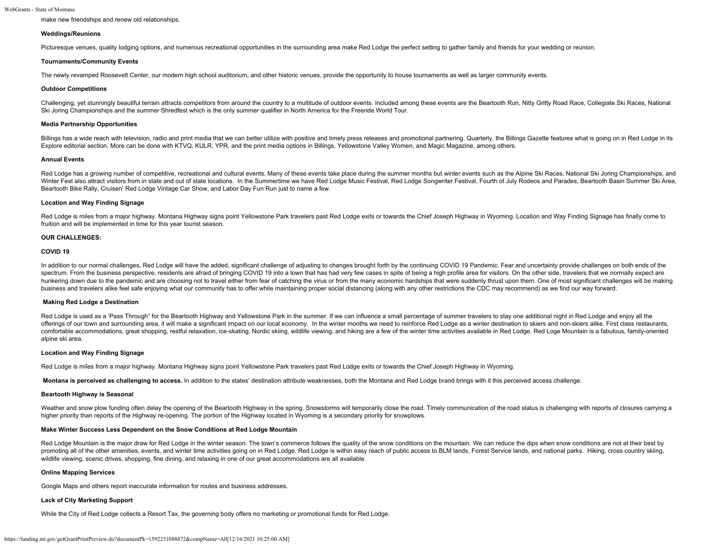make new friendships and renew old relationships.

# **Weddings/Reunions**

Picturesque venues, quality lodging options, and numerous recreational opportunities in the surrounding area make Red Lodge the perfect setting to gather family and friends for your wedding or reunion.

# **Tournaments/Community Events**

The newly revamped Roosevelt Center, our modern high school auditorium, and other historic venues, provide the opportunity to house tournaments as well as larger community events.

#### **Outdoor Competitions**

Challenging, yet stunningly beautiful terrain attracts competitors from around the country to a multitude of outdoor events. Included among these events are the Beartooth Run, Nitty Gritty Road Race, Collegiate Ski Races, Ski Joring Championships and the summer Shredfest which is the only summer qualifier in North America for the Freeride World Tour.

# **Media Partnership Opportunities**

Billings has a wide reach with television, radio and print media that we can better utilize with positive and timely press releases and promotional partnering. Quarterly, the Billings Gazette features what is going on in R Explore editorial section. More can be done with KTVQ, KULR, YPR, and the print media options in Billings, Yellowstone Valley Women, and Magic Magazine, among others.

#### **Annual Events**

Red Lodge has a growing number of competitive, recreational and cultural events. Many of these events take place during the summer months but winter events such as the Alpine Ski Races, National Ski Joring Championships, a Winter Fest also attract visitors from in state and out of state locations. In the Summertime we have Red Lodge Music Festival, Red Lodge Songwriter Festival, Fourth of July Rodeos and Parades, Beartooth Basin Summer Ski A Beartooth Bike Rally, Cruisen' Red Lodge Vintage Car Show, and Labor Day Fun Run just to name a few.

# **Location and Way Finding Signage**

Red Lodge is miles from a major highway. Montana Highway signs point Yellowstone Park travelers past Red Lodge exits or towards the Chief Joseph Highway in Wyoming. Location and Way Finding Signage has finally come to fruition and will be implemented in time for this year tourist season.

# **OUR CHALLENGES:**

# **COVID 19**

In addition to our normal challenges, Red Lodge will have the added, significant challenge of adjusting to changes brought forth by the continuing COVID 19 Pandemic. Fear and uncertainty provide challenges on both ends of spectrum. From the business perspective, residents are afraid of bringing COVID 19 into a town that has had very few cases in spite of being a high profile area for visitors. On the other side, travelers that we normally e hunkering down due to the pandemic and are choosing not to travel either from fear of catching the virus or from the many economic hardships that were suddenly thrust upon them. One of most significant challenges will be m business and travelers alike feel safe enjoying what our community has to offer while maintaining proper social distancing (along with any other restrictions the CDC may recommend) as we find our way forward.

# **Making Red Lodge a Destination**

Red Lodge is used as a 'Pass Through" for the Beartooth Highway and Yellowstone Park in the summer. If we can influence a small percentage of summer travelers to stay one additional night in Red Lodge and enjoy all the offerings of our town and surrounding area, it will make a significant impact on our local economy. In the winter months we need to reinforce Red Lodge as a winter destination to skiers and non-skiers alike. First class re comfortable accommodations, great shopping, restful relaxation, ice-skating, Nordic skiing, wildlife viewing, and hiking are a few of the winter time activities available in Red Lodge. Red Loge Mountain is a fabulous, fami alpine ski area.

# **Location and Way Finding Signage**

Red Lodge is miles from a major highway. Montana Highway signs point Yellowstone Park travelers past Red Lodge exits or towards the Chief Joseph Highway in Wyoming.

**Montana is perceived as challenging to access.** In addition to the states' destination attribute weaknesses, both the Montana and Red Lodge brand brings with it this perceived access challenge.

#### **Beartooth Highway is Seasonal**

Weather and snow plow funding often delay the opening of the Beartooth Highway in the spring. Snowstorms will temporarily close the road. Timely communication of the road status is challenging with reports of closures carr higher priority than reports of the Highway re-opening. The portion of the Highway located in Wyoming is a secondary priority for snowplows.

# **Make Winter Success Less Dependent on the Snow Conditions at Red Lodge Mountain**

Red Lodge Mountain is the major draw for Red Lodge in the winter season. The town's commerce follows the guality of the snow conditions on the mountain. We can reduce the dips when snow conditions are not at their best by promoting all of the other amenities, events, and winter time activities going on in Red Lodge. Red Lodge is within easy reach of public access to BLM lands, Forest Service lands, and national parks. Hiking, cross country wildlife viewing, scenic drives, shopping, fine dining, and relaxing in one of our great accommodations are all available.

# **Online Mapping Services**

Google Maps and others report inaccurate information for routes and business addresses.

# **Lack of City Marketing Support**

While the City of Red Lodge collects a Resort Tax, the governing body offers no marketing or promotional funds for Red Lodge.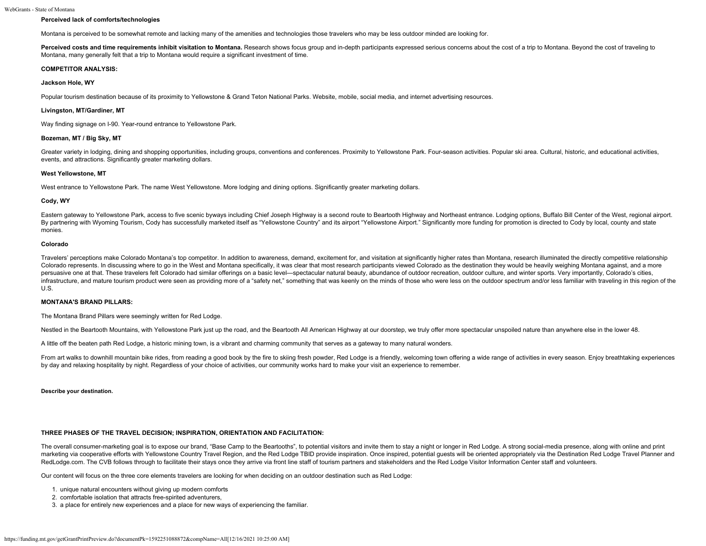# **Perceived lack of comforts/technologies**

Montana is perceived to be somewhat remote and lacking many of the amenities and technologies those travelers who may be less outdoor minded are looking for.

**Perceived costs and time requirements inhibit visitation to Montana.** Research shows focus group and in-depth participants expressed serious concerns about the cost of a trip to Montana. Beyond the cost of traveling to Montana, many generally felt that a trip to Montana would require a significant investment of time.

# **COMPETITOR ANALYSIS:**

# **Jackson Hole, WY**

Popular tourism destination because of its proximity to Yellowstone & Grand Teton National Parks. Website, mobile, social media, and internet advertising resources.

# **Livingston, MT/Gardiner, MT**

Way finding signage on I-90. Year-round entrance to Yellowstone Park.

# **Bozeman, MT / Big Sky, MT**

Greater variety in lodging, dining and shopping opportunities, including groups, conventions and conferences. Proximity to Yellowstone Park. Four-season activities. Popular ski area. Cultural, historic, and educational act events, and attractions. Significantly greater marketing dollars.

#### **West Yellowstone, MT**

West entrance to Yellowstone Park. The name West Yellowstone. More lodging and dining options. Significantly greater marketing dollars.

#### **Cody, WY**

Eastern gateway to Yellowstone Park, access to five scenic byways including Chief Joseph Highway is a second route to Beartooth Highway and Northeast entrance. Lodging options, Buffalo Bill Center of the West, regional air By partnering with Wyoming Tourism, Cody has successfully marketed itself as "Yellowstone Country" and its airport "Yellowstone Airport." Significantly more funding for promotion is directed to Cody by local, county and st monies.

#### **Colorado**

Travelers' perceptions make Colorado Montana's top competitor. In addition to awareness, demand, excitement for, and visitation at significantly higher rates than Montana, research illuminated the directly competitive rela Colorado represents. In discussing where to go in the West and Montana specifically, it was clear that most research participants viewed Colorado as the destination they would be heavily weighing Montana against, and a mor persuasive one at that. These travelers felt Colorado had similar offerings on a basic level-spectacular natural beauty, abundance of outdoor recreation, outdoor culture, and winter sports. Very importantly, Colorado's cit infrastructure, and mature tourism product were seen as providing more of a "safety net," something that was keenly on the minds of those who were less on the outdoor spectrum and/or less familiar with traveling in this re U.S.

### **MONTANA'S BRAND PILLARS:**

The Montana Brand Pillars were seemingly written for Red Lodge.

Nestled in the Beartooth Mountains, with Yellowstone Park just up the road, and the Beartooth All American Highway at our doorstep, we truly offer more spectacular unspoiled nature than anywhere else in the lower 48.

A little off the beaten path Red Lodge, a historic mining town, is a vibrant and charming community that serves as a gateway to many natural wonders.

From art walks to downhill mountain bike rides, from reading a good book by the fire to skiing fresh powder, Red Lodge is a friendly, welcoming town offering a wide range of activities in every season. Enjoy breathtaking e by day and relaxing hospitality by night. Regardless of your choice of activities, our community works hard to make your visit an experience to remember.

#### **Describe your destination.**

# **THREE PHASES OF THE TRAVEL DECISION; INSPIRATION, ORIENTATION AND FACILITATION:**

The overall consumer-marketing goal is to expose our brand, "Base Camp to the Beartooths", to potential visitors and invite them to stay a night or longer in Red Lodge. A strong social-media presence, along with online and marketing via cooperative efforts with Yellowstone Country Travel Region, and the Red Lodge TBID provide inspiration. Once inspired, potential guests will be oriented appropriately via the Destination Red Lodge Travel Plan RedLodge.com. The CVB follows through to facilitate their stays once they arrive via front line staff of tourism partners and stakeholders and the Red Lodge Visitor Information Center staff and volunteers.

Our content will focus on the three core elements travelers are looking for when deciding on an outdoor destination such as Red Lodge:

- 1. unique natural encounters without giving up modern comforts
- 2. comfortable isolation that attracts free-spirited adventurers,
- 3. a place for entirely new experiences and a place for new ways of experiencing the familiar.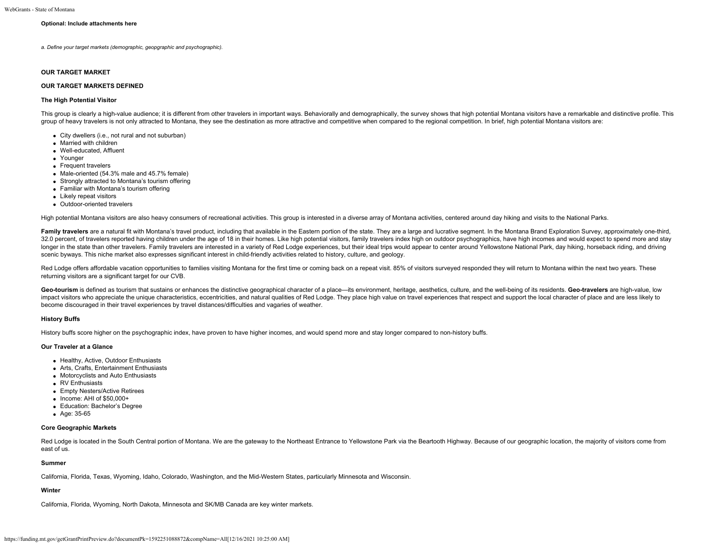# **Optional: Include attachments here**

*a. Define your target markets (demographic, geopgraphic and psychographic).*

#### **OUR TARGET MARKET**

## **OUR TARGET MARKETS DEFINED**

## **The High Potential Visitor**

This group is clearly a high-value audience; it is different from other travelers in important ways. Behaviorally and demographically, the survey shows that high potential Montana visitors have a remarkable and distinctive group of heavy travelers is not only attracted to Montana, they see the destination as more attractive and competitive when compared to the regional competition. In brief, high potential Montana visitors are:

- City dwellers (i.e., not rural and not suburban)
- Married with children
- Well-educated, Affluent
- Younger
- Frequent travelers
- Male-oriented (54.3% male and 45.7% female)
- Strongly attracted to Montana's tourism offering
- Familiar with Montana's tourism offering
- Likely repeat visitors
- Outdoor-oriented travelers

High potential Montana visitors are also heavy consumers of recreational activities. This group is interested in a diverse array of Montana activities, centered around day hiking and visits to the National Parks.

Family travelers are a natural fit with Montana's travel product, including that available in the Eastern portion of the state. They are a large and lucrative segment. In the Montana Brand Exploration Survey, approximately 32.0 percent, of travelers reported having children under the age of 18 in their homes. Like high potential visitors, family travelers index high no outdoor psychographics, have high incomes and would expect to spend more longer in the state than other travelers. Family travelers are interested in a variety of Red Lodge experiences, but their ideal trips would appear to center around Yellowstone National Park, day hiking, horseback riding, scenic byways. This niche market also expresses significant interest in child-friendly activities related to history, culture, and geology.

Red Lodge offers affordable vacation opportunities to families visiting Montana for the first time or coming back on a repeat visit. 85% of visitors surveyed responded they will return to Montana within the next two years. returning visitors are a significant target for our CVB.

Geo-tourism is defined as tourism that sustains or enhances the distinctive geographical character of a place-its environment, heritage, aesthetics, culture, and the well-being of its residents. Geo-travelers are high-valu impact visitors who appreciate the unique characteristics, eccentricities, and natural qualities of Red Lodge. They place high value on travel experiences that respect and support the local character of place and are less become discouraged in their travel experiences by travel distances/difficulties and vagaries of weather.

# **History Buffs**

History buffs score higher on the psychographic index, have proven to have higher incomes, and would spend more and stay longer compared to non-history buffs.

# **Our Traveler at a Glance**

- Healthy, Active, Outdoor Enthusiasts
- Arts, Crafts, Entertainment Enthusiasts
- Motorcyclists and Auto Enthusiasts
- RV Enthusiasts
- Empty Nesters/Active Retirees
- $\bullet$  Income: AHI of \$50,000+
- Education: Bachelor's Degree
- Age: 35-65

# **Core Geographic Markets**

Red Lodge is located in the South Central portion of Montana. We are the gateway to the Northeast Entrance to Yellowstone Park via the Beartooth Highway. Because of our geographic location, the majority of visitors come fr east of us.

## **Summer**

California, Florida, Texas, Wyoming, Idaho, Colorado, Washington, and the Mid-Western States, particularly Minnesota and Wisconsin.

## **Winter**

California, Florida, Wyoming, North Dakota, Minnesota and SK/MB Canada are key winter markets.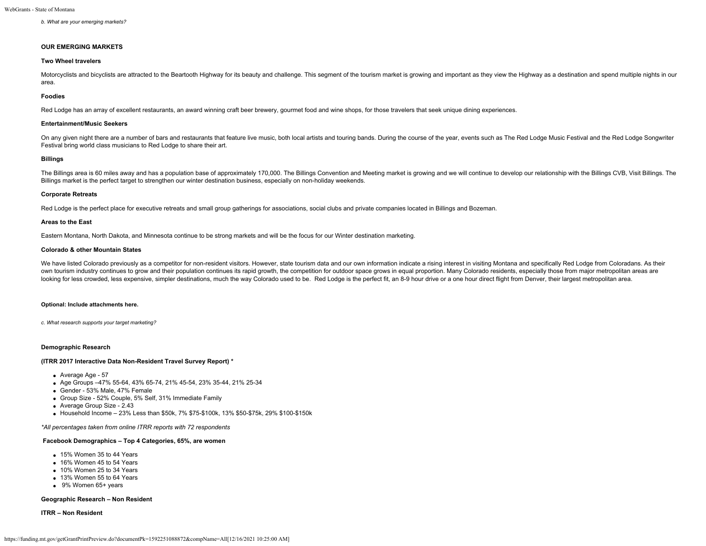## *b. What are your emerging markets?*

#### **OUR EMERGING MARKETS**

# **Two Wheel travelers**

Motorcyclists and bicyclists are attracted to the Beartooth Highway for its beauty and challenge. This segment of the tourism market is growing and important as they view the Highway as a destination and spend multiple nig area.

#### **Foodies**

Red Lodge has an array of excellent restaurants, an award winning craft beer brewery, gourmet food and wine shops, for those travelers that seek unique dining experiences.

# **Entertainment/Music Seekers**

On any given night there are a number of bars and restaurants that feature live music, both local artists and touring bands. During the course of the year, events such as The Red Lodge Music Festival and the Red Lodge Song Festival bring world class musicians to Red Lodge to share their art.

# **Billings**

The Billings area is 60 miles away and has a population base of approximately 170,000. The Billings Convention and Meeting market is growing and we will continue to develop our relationship with the Billings CVB, Visit Bil Billings market is the perfect target to strengthen our winter destination business, especially on non-holiday weekends.

# **Corporate Retreats**

Red Lodge is the perfect place for executive retreats and small group gatherings for associations, social clubs and private companies located in Billings and Bozeman.

# **Areas to the East**

Eastern Montana, North Dakota, and Minnesota continue to be strong markets and will be the focus for our Winter destination marketing.

# **Colorado & other Mountain States**

We have listed Colorado previously as a competitor for non-resident visitors. However, state tourism data and our own information indicate a rising interest in visiting Montana and specifically Red Lodge from Coloradans. A own tourism industry continues to grow and their population continues its rapid growth, the competition for outdoor space grows in equal proportion. Many Colorado residents, especially those from major metropolitan areas a looking for less crowded, less expensive, simpler destinations, much the way Colorado used to be. Red Lodge is the perfect fit, an 8-9 hour drive or a one hour direct flight from Denver, their largest metropolitan area.

#### **Optional: Include attachments here.**

*c. What research supports your target marketing?*

## **Demographic Research**

#### **(ITRR 2017 Interactive Data Non-Resident Travel Survey Report) \***

- Average Age 57
- Age Groups –47% 55-64, 43% 65-74, 21% 45-54, 23% 35-44, 21% 25-34
- Gender 53% Male, 47% Female
- Group Size 52% Couple, 5% Self, 31% Immediate Family
- Average Group Size 2.43
- $\bullet$  Household Income 23% Less than \$50k, 7% \$75-\$100k, 13% \$50-\$75k, 29% \$100-\$150k

*\*All percentages taken from online ITRR reports with 72 respondents*

# **Facebook Demographics – Top 4 Categories, 65%, are women**

- 15% Women 35 to 44 Years
- <sup>16%</sup> Women 45 to 54 Years
- 10% Women 25 to 34 Years
- 13% Women 55 to 64 Years
- 9% Women 65+ years

# **Geographic Research – Non Resident**

**ITRR – Non Resident**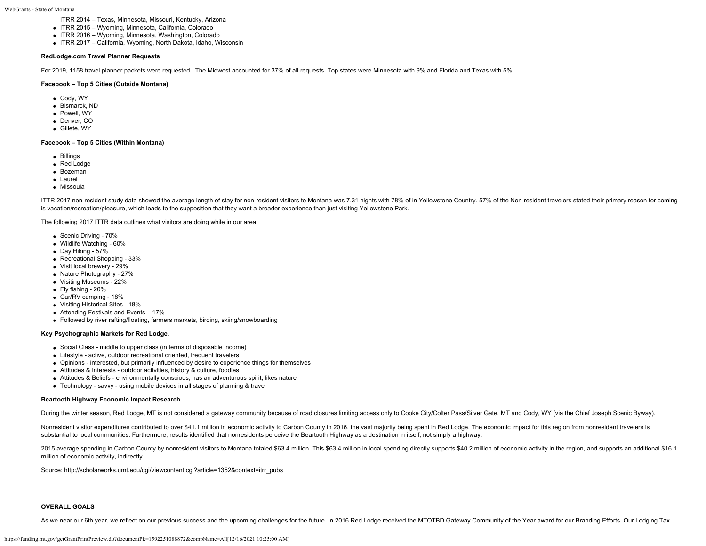- ITRR 2014 Texas, Minnesota, Missouri, Kentucky, Arizona
- ITRR 2015 Wyoming, Minnesota, California, Colorado
- ITRR 2016 Wyoming, Minnesota, Washington, Colorado
- ITRR 2017 California, Wyoming, North Dakota, Idaho, Wisconsin

# **RedLodge.com Travel Planner Requests**

For 2019, 1158 travel planner packets were requested. The Midwest accounted for 37% of all requests. Top states were Minnesota with 9% and Florida and Texas with 5%

# **Facebook – Top 5 Cities (Outside Montana)**

- Cody, WY
- Bismarck, ND
- Powell, WY
- Denver, CO
- Gillete, WY

# **Facebook – Top 5 Cities (Within Montana)**

- Billings
- Red Lodge
- Bozeman
- Laurel
- Missoula

ITTR 2017 non-resident study data showed the average length of stay for non-resident visitors to Montana was 7.31 nights with 78% of in Yellowstone Country. 57% of the Non-resident travelers stated their primary reason for is vacation/recreation/pleasure, which leads to the supposition that they want a broader experience than just visiting Yellowstone Park.

The following 2017 ITTR data outlines what visitors are doing while in our area.

- Scenic Driving 70%
- Wildlife Watching 60%
- Day Hiking 57%
- Recreational Shopping 33%
- Visit local brewery 29%
- Nature Photography 27%
- Visiting Museums 22%
- Fly fishing 20%
- Car/RV camping 18%
- Visiting Historical Sites 18%
- Attending Festivals and Events 17%
- Followed by river rafting/floating, farmers markets, birding, skiing/snowboarding

# **Key Psychographic Markets for Red Lodge**.

- Social Class middle to upper class (in terms of disposable income)
- Lifestyle active, outdoor recreational oriented, frequent travelers
- Opinions interested, but primarily influenced by desire to experience things for themselves
- Attitudes & Interests outdoor activities, history & culture, foodies
- Attitudes & Beliefs environmentally conscious, has an adventurous spirit, likes nature
- Technology savvy using mobile devices in all stages of planning & travel

# **Beartooth Highway Economic Impact Research**

During the winter season, Red Lodge, MT is not considered a gateway community because of road closures limiting access only to Cooke City/Colter Pass/Silver Gate, MT and Cody, WY (via the Chief Joseph Scenic Byway).

Nonresident visitor expenditures contributed to over \$41.1 million in economic activity to Carbon County in 2016, the vast majority being spent in Red Lodge. The economic impact for this region from nonresident travelers i substantial to local communities. Furthermore, results identified that nonresidents perceive the Beartooth Highway as a destination in itself, not simply a highway.

2015 average spending in Carbon County by nonresident visitors to Montana totaled \$63.4 million. This \$63.4 million in local spending directly supports \$40.2 million of economic activity in the region, and supports an addi million of economic activity, indirectly.

Source: [http://scholarworks.umt.edu/cgi/viewcontent.cgi?article=1352&context=itrr\\_pubs](http://scholarworks.umt.edu/cgi/viewcontent.cgi?article=1352&context=itrr_pubs)

# **OVERALL GOALS**

As we near our 6th year, we reflect on our previous success and the upcoming challenges for the future. In 2016 Red Lodge received the MTOTBD Gateway Community of the Year award for our Branding Efforts. Our Lodging Tax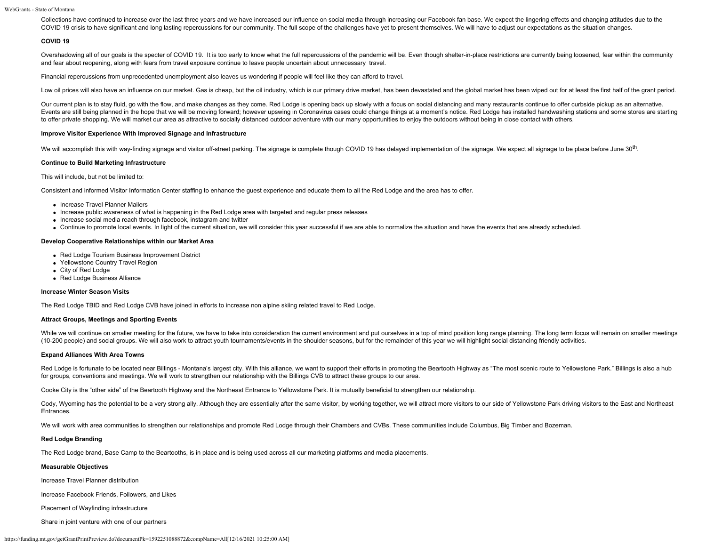Collections have continued to increase over the last three years and we have increased our influence on social media through increasing our Facebook fan base. We expect the lingering effects and changing attitudes due to t COVID 19 crisis to have significant and long lasting repercussions for our community. The full scope of the challenges have yet to present themselves. We will have to adjust our expectations as the situation changes.

# **COVID 19**

Overshadowing all of our goals is the specter of COVID 19. It is too early to know what the full repercussions of the pandemic will be. Even though shelter-in-place restrictions are currently being loosened, fear within th and fear about reopening, along with fears from travel exposure continue to leave people uncertain about unnecessary travel.

Financial repercussions from unprecedented unemployment also leaves us wondering if people will feel like they can afford to travel.

Low oil prices will also have an influence on our market. Gas is cheap, but the oil industry, which is our primary drive market, has been devastated and the global market has been wiped out for at least the first half of t

Our current plan is to stay fluid, go with the flow, and make changes as they come. Red Lodge is opening back up slowly with a focus on social distancing and many restaurants continue to offer curbside pickup as an alterna Events are still being planned in the hope that we will be moving forward; however upswing in Coronavirus cases could change things at a moment's notice. Red Lodge has installed handwashing stations and some stores are sta to offer private shopping. We will market our area as attractive to socially distanced outdoor adventure with our many opportunities to enjoy the outdoors without being in close contact with others.

# **Improve Visitor Experience With Improved Signage and Infrastructure**

We will accomplish this with way-finding signage and visitor off-street parking. The signage is complete though COVID 19 has delayed implementation of the signage. We expect all signage to be place before June 30<sup>th</sup>.

## **Continue to Build Marketing Infrastructure**

This will include, but not be limited to:

Consistent and informed Visitor Information Center staffing to enhance the guest experience and educate them to all the Red Lodge and the area has to offer.

- Increase Travel Planner Mailers
- Increase public awareness of what is happening in the Red Lodge area with targeted and regular press releases
- Increase social media reach through facebook, instagram and twitter
- Continue to promote local events. In light of the current situation, we will consider this year successful if we are able to normalize the situation and have the events that are already scheduled.

#### **Develop Cooperative Relationships within our Market Area**

- Red Lodge Tourism Business Improvement District
- Yellowstone Country Travel Region
- City of Red Lodge
- Red Lodge Business Alliance

## **Increase Winter Season Visits**

The Red Lodge TBID and Red Lodge CVB have joined in efforts to increase non alpine skiing related travel to Red Lodge.

# **Attract Groups, Meetings and Sporting Events**

While we will continue on smaller meeting for the future, we have to take into consideration the current environment and put ourselves in a top of mind position long range planning. The long term focus will remain on small (10-200 people) and social groups. We will also work to attract youth tournaments/events in the shoulder seasons, but for the remainder of this year we will highlight social distancing friendly activities.

# **Expand Alliances With Area Towns**

Red Lodge is fortunate to be located near Billings - Montana's largest city. With this alliance, we want to support their efforts in promoting the Beartooth Highway as "The most scenic route to Yellowstone Park." Billings for groups, conventions and meetings. We will work to strengthen our relationship with the Billings CVB to attract these groups to our area.

Cooke City is the "other side" of the Beartooth Highway and the Northeast Entrance to Yellowstone Park. It is mutually beneficial to strengthen our relationship.

Cody, Wyoming has the potential to be a very strong ally. Although they are essentially after the same visitor, by working together, we will attract more visitors to our side of Yellowstone Park driving visitors to the Eas Entrances.

We will work with area communities to strengthen our relationships and promote Red Lodge through their Chambers and CVBs. These communities include Columbus, Big Timber and Bozeman.

## **Red Lodge Branding**

The Red Lodge brand, Base Camp to the Beartooths, is in place and is being used across all our marketing platforms and media placements.

## **Measurable Objectives**

Increase Travel Planner distribution

Increase Facebook Friends, Followers, and Likes

Placement of Wayfinding infrastructure

Share in joint venture with one of our partners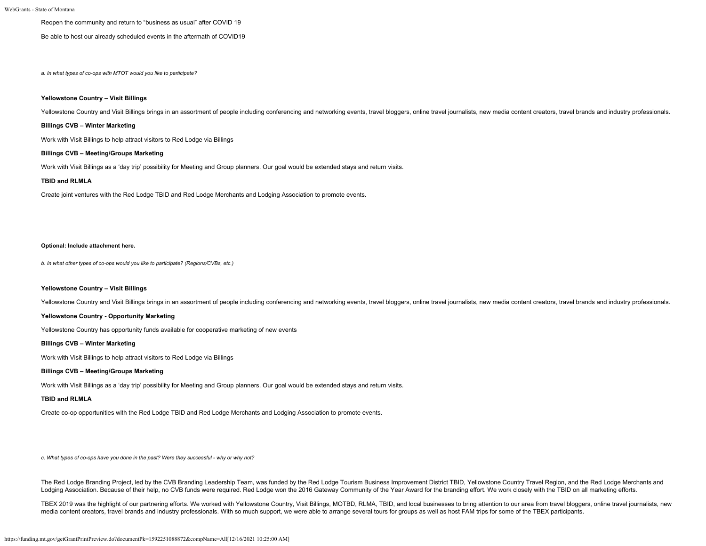# Reopen the community and return to "business as usual" after COVID 19

Be able to host our already scheduled events in the aftermath of COVID19

*a. In what types of co-ops with MTOT would you like to participate?*

# **Yellowstone Country – Visit Billings**

Yellowstone Country and Visit Billings brings in an assortment of people including conferencing and networking events, travel bloggers, online travel journalists, new media content creators, travel brands and industry prof

# **Billings CVB – Winter Marketing**

Work with Visit Billings to help attract visitors to Red Lodge via Billings

# **Billings CVB – Meeting/Groups Marketing**

Work with Visit Billings as a 'day trip' possibility for Meeting and Group planners. Our goal would be extended stays and return visits.

# **TBID and RLMLA**

Create joint ventures with the Red Lodge TBID and Red Lodge Merchants and Lodging Association to promote events.

#### **Optional: Include attachment here.**

*b. In what other types of co-ops would you like to participate? (Regions/CVBs, etc.)*

# **Yellowstone Country – Visit Billings**

Yellowstone Country and Visit Billings brings in an assortment of people including conferencing and networking events, travel bloggers, online travel journalists, new media content creators, travel brands and industry prof

#### **Yellowstone Country - Opportunity Marketing**

Yellowstone Country has opportunity funds available for cooperative marketing of new events

#### **Billings CVB – Winter Marketing**

Work with Visit Billings to help attract visitors to Red Lodge via Billings

# **Billings CVB – Meeting/Groups Marketing**

Work with Visit Billings as a 'day trip' possibility for Meeting and Group planners. Our goal would be extended stays and return visits.

# **TBID and RLMLA**

Create co-op opportunities with the Red Lodge TBID and Red Lodge Merchants and Lodging Association to promote events.

*c. What types of co-ops have you done in the past? Were they successful - why or why not?*

The Red Lodge Branding Project, led by the CVB Branding Leadership Team, was funded by the Red Lodge Tourism Business Improvement District TBID, Yellowstone Country Travel Region, and the Red Lodge Merchants and Lodging Association. Because of their help, no CVB funds were required. Red Lodge won the 2016 Gateway Community of the Year Award for the branding effort. We work closely with the TBID on all marketing efforts.

TBEX 2019 was the highlight of our partnering efforts. We worked with Yellowstone Country, Visit Billings, MOTBD, RLMA, TBID, and local businesses to bring attention to our area from travel bloggers, online travel journali media content creators, travel brands and industry professionals. With so much support, we were able to arrange several tours for groups as well as host FAM trips for some of the TBEX participants.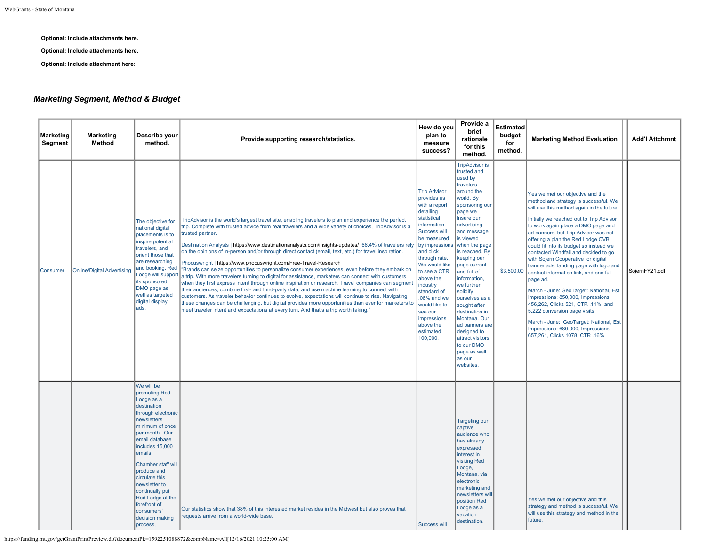**Optional: Include attachments here.**

**Optional: Include attachments here.**

**Optional: Include attachment here:**

# *Marketing Segment, Method & Budget*

| <b>Marketing</b><br><b>Segment</b> | <b>Marketing</b><br>Method        | Describe your<br>method.                                                                                                                                                                                                                                                                                                                                       | Provide supporting research/statistics.                                                                                                                                                                                                                                                                                                                                                                                                                                                                                                                                                                                                                                                                                                                                                                                                                                                                                                                                                                                                                                                                                                                                                                                                              | How do you<br>plan to<br>measure<br>success?                                                                                                                                                                                                                                                                                                              | Provide a<br>brief<br>rationale<br>for this<br>method.                                                                                                                                                                                                                                                                                                                                                                                                                                 | <b>Estimated</b><br>budget<br>for<br>method. | <b>Marketing Method Evaluation</b>                                                                                                                                                                                                                                                                                                                                                                                                                                                                                                                                                                                                                                                                                                                                                    | <b>Add'l Attchmnt</b> |
|------------------------------------|-----------------------------------|----------------------------------------------------------------------------------------------------------------------------------------------------------------------------------------------------------------------------------------------------------------------------------------------------------------------------------------------------------------|------------------------------------------------------------------------------------------------------------------------------------------------------------------------------------------------------------------------------------------------------------------------------------------------------------------------------------------------------------------------------------------------------------------------------------------------------------------------------------------------------------------------------------------------------------------------------------------------------------------------------------------------------------------------------------------------------------------------------------------------------------------------------------------------------------------------------------------------------------------------------------------------------------------------------------------------------------------------------------------------------------------------------------------------------------------------------------------------------------------------------------------------------------------------------------------------------------------------------------------------------|-----------------------------------------------------------------------------------------------------------------------------------------------------------------------------------------------------------------------------------------------------------------------------------------------------------------------------------------------------------|----------------------------------------------------------------------------------------------------------------------------------------------------------------------------------------------------------------------------------------------------------------------------------------------------------------------------------------------------------------------------------------------------------------------------------------------------------------------------------------|----------------------------------------------|---------------------------------------------------------------------------------------------------------------------------------------------------------------------------------------------------------------------------------------------------------------------------------------------------------------------------------------------------------------------------------------------------------------------------------------------------------------------------------------------------------------------------------------------------------------------------------------------------------------------------------------------------------------------------------------------------------------------------------------------------------------------------------------|-----------------------|
| Consumer                           | <b>Online/Digital Advertising</b> | The objective for<br>national digital<br>placements is to<br>inspire potential<br>travelers, and<br>orient those that<br>are researching<br>and booking. Red<br>Lodge will suppor<br>its sponsored<br>DMO page as<br>well as targeted<br>digital display<br>ads.                                                                                               | TripAdvisor is the world's largest travel site, enabling travelers to plan and experience the perfect<br>trip. Complete with trusted advice from real travelers and a wide variety of choices, TripAdvisor is a<br>trusted partner.<br>Destination Analysts   https://www.destinationanalysts.com/insights-updates/ 66.4% of travelers rely<br>on the opinions of in-person and/or through direct contact (email, text, etc.) for travel inspiration.<br>Phocuswright   https://www.phocuswright.com/Free-Travel-Research<br>'Brands can seize opportunities to personalize consumer experiences, even before they embark on<br>a trip. With more travelers turning to digital for assistance, marketers can connect with customers<br>when they first express intent through online inspiration or research. Travel companies can segment<br>their audiences, combine first- and third-party data, and use machine learning to connect with<br>customers. As traveler behavior continues to evolve, expectations will continue to rise. Navigating<br>these changes can be challenging, but digital provides more opportunities than ever for marketers to<br>meet traveler intent and expectations at every turn. And that's a trip worth taking." | <b>Trip Advisor</b><br>provides us<br>with a report<br>detailing<br>statistical<br>information.<br>Success will<br>be measured<br>by impressions<br>and click<br>through rate.<br>We would like<br>to see a CTR<br>above the<br>industry<br>standard of<br>$.08%$ and we<br>would like to<br>see our<br>impressions<br>above the<br>estimated<br>100,000. | <b>TripAdvisor is</b><br>trusted and<br>used by<br>travelers<br>around the<br>world. By<br>sponsoring our<br>page we<br>insure our<br>advertising<br>and message<br>is viewed<br>when the page<br>is reached. By<br>keeping our<br>page current<br>and full of<br>information,<br>we further<br>solidify<br>ourselves as a<br>sought after<br>destination in<br>Montana. Our<br>ad banners are<br>designed to<br>attract visitors<br>to our DMO<br>page as well<br>as our<br>websites. | \$3,500.00                                   | Yes we met our objective and the<br>method and strategy is successful. We<br>will use this method again in the future.<br>Initially we reached out to Trip Advisor<br>to work again place a DMO page and<br>ad banners, but Trip Advisor was not<br>offering a plan the Red Lodge CVB<br>could fit into its budget so instead we<br>contacted Windfall and decided to go<br>with Sojern Cooperative for digital<br>banner ads, landing page with logo and<br>contact information link, and one full<br>page ad.<br>March - June: GeoTarget: National, Est<br>Impressions: 850,000, Impressions<br>456,262, Clicks 521, CTR .11%, and<br>5,222 conversion page visits<br>March - June: GeoTarget: National, Est<br>Impressions: 680,000, Impressions<br>657,261, Clicks 1078, CTR .16% | SojernFY21.pdf        |
|                                    |                                   | We will be<br>promoting Red<br>Lodge as a<br>destination<br>through electronic<br>newsletters<br>minimum of once<br>per month. Our<br>email database<br>includes 15,000<br>emails.<br>Chamber staff will<br>produce and<br>circulate this<br>newsletter to<br>continually put<br>Red Lodge at the<br>forefront of<br>consumers'<br>decision making<br>process. | Our statistics show that 38% of this interested market resides in the Midwest but also proves that<br>requests arrive from a world-wide base.                                                                                                                                                                                                                                                                                                                                                                                                                                                                                                                                                                                                                                                                                                                                                                                                                                                                                                                                                                                                                                                                                                        | Success will                                                                                                                                                                                                                                                                                                                                              | <b>Targeting our</b><br>captive<br>audience who<br>has already<br>expressed<br>interest in<br>visiting Red<br>Lodge,<br>Montana, via<br>electronic<br>marketing and<br>newsletters wil<br>position Red<br>Lodge as a<br>vacation<br>destination.                                                                                                                                                                                                                                       |                                              | Yes we met our objective and this<br>strategy and method is successful. We<br>will use this strategy and method in the<br>future.                                                                                                                                                                                                                                                                                                                                                                                                                                                                                                                                                                                                                                                     |                       |

https://funding.mt.gov/getGrantPrintPreview.do?documentPk=1592251088872&compName=All[12/16/2021 10:25:00 AM]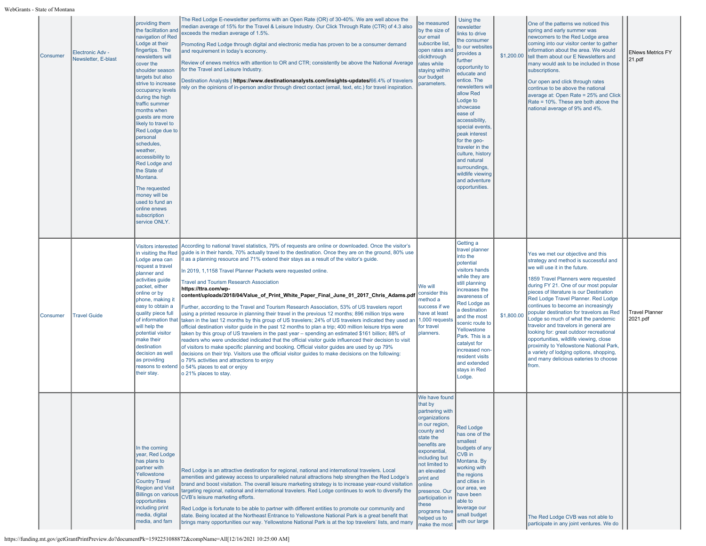WebGrants - State of Montana

| <b>Consumer</b> | Electronic Adv -<br>Newsletter, E-blast | providing them<br>the facilitation and<br>navigation of Red<br>Lodge at their<br>fingertips. The<br>newsletters will<br>cover the<br>shoulder season<br>targets but also<br>strive to increase<br>occupancy levels<br>during the high<br>traffic summer<br>months when<br>quests are more<br>likely to travel to<br>Red Lodge due to<br>personal<br>schedules,<br>weather,<br>accessibility to<br>Red Lodge and<br>the State of<br>Montana.<br>The requested<br>money will be<br>used to fund an<br>online enews<br>subscription<br>service ONLY. | The Red Lodge E-newsletter performs with an Open Rate (OR) of 30-40%. We are well above the<br>median average of 15% for the Travel & Leisure Industry. Our Click Through Rate (CTR) of 4.3 also<br>exceeds the median average of 1.5%.<br>Promoting Red Lodge through digital and electronic media has proven to be a consumer demand<br>and requirement in today's economy.<br>Review of enews metrics with attention to OR and CTR; consistently be above the National Average<br>for the Travel and Leisure Industry.<br>Destination Analysts   https://www.destinationanalysts.com/insights-updates/66.4% of travelers<br>ely on the opinions of in-person and/or through direct contact (email, text, etc.) for travel inspiration.                                                                                                                                                                                                                                                                                                                                                                                                                                                                                                                                                                                                                                                                                                                                                                   | be measured<br>by the size of<br>our email<br>subscribe list<br>open rates and<br>clickthrough<br>rates while<br>staying withir<br>our budget<br>parameters.                                                                                                                                                       | Using the<br><b>newsletter</b><br>links to drive<br>the consumer<br>to our websites<br>provides a<br>further<br>opportunity to<br>educate and<br>entice. The<br>newsletters wil<br>allow Red<br>Lodge to<br>showcase<br>ease of<br>accessibility,<br>special events<br>peak interest<br>for the geo-<br>traveler in the<br>culture, history<br>and natural<br>surroundings,<br>wildlife viewing<br>and adventure<br>opportunities. | \$1,200.00 | One of the patterns we noticed this<br>spring and early summer was<br>newcomers to the Red Lodge area<br>coming into our visitor center to gather<br>information about the area. We would<br>tell them about our E Newsletters and<br>many would ask to be included in those<br>subscriptions.<br>Our open and click through rates<br>continue to be above the national<br>average at: Open Rate = 25% and Click<br>Rate = 10%. These are both above the<br>national average of 9% and 4%.                                                                                                                                                                                   | <b>ENews Metrics FY</b><br>21.pdf |
|-----------------|-----------------------------------------|---------------------------------------------------------------------------------------------------------------------------------------------------------------------------------------------------------------------------------------------------------------------------------------------------------------------------------------------------------------------------------------------------------------------------------------------------------------------------------------------------------------------------------------------------|-------------------------------------------------------------------------------------------------------------------------------------------------------------------------------------------------------------------------------------------------------------------------------------------------------------------------------------------------------------------------------------------------------------------------------------------------------------------------------------------------------------------------------------------------------------------------------------------------------------------------------------------------------------------------------------------------------------------------------------------------------------------------------------------------------------------------------------------------------------------------------------------------------------------------------------------------------------------------------------------------------------------------------------------------------------------------------------------------------------------------------------------------------------------------------------------------------------------------------------------------------------------------------------------------------------------------------------------------------------------------------------------------------------------------------------------------------------------------------------------------------------|--------------------------------------------------------------------------------------------------------------------------------------------------------------------------------------------------------------------------------------------------------------------------------------------------------------------|------------------------------------------------------------------------------------------------------------------------------------------------------------------------------------------------------------------------------------------------------------------------------------------------------------------------------------------------------------------------------------------------------------------------------------|------------|------------------------------------------------------------------------------------------------------------------------------------------------------------------------------------------------------------------------------------------------------------------------------------------------------------------------------------------------------------------------------------------------------------------------------------------------------------------------------------------------------------------------------------------------------------------------------------------------------------------------------------------------------------------------------|-----------------------------------|
| Consumer        | <b>Travel Guide</b>                     | <b>Visitors interested</b><br>in visiting the Red<br>Lodge area can<br>request a travel<br>planner and<br>activities guide<br>packet, either<br>online or by<br>phone, making it<br>easy to obtain a<br>quality piece full<br>of information that<br>will help the<br>potential visitor<br>make their<br>destination<br>decision as well<br>as providing<br>reasons to extend<br>their stay.                                                                                                                                                      | According to national travel statistics, 79% of requests are online or downloaded. Once the visitor's<br>guide is in their hands, 70% actually travel to the destination. Once they are on the ground, 80% use<br>it as a planning resource and 71% extend their stays as a result of the visitor's quide.<br>In 2019, 1,1158 Travel Planner Packets were requested online.<br><b>Travel and Tourism Research Association</b><br>https://ttra.com/wp-<br>content/uploads/2018/04/Value_of_Print_White_Paper_Final_June_01_2017_Chris_Adams.pdf<br>Further, according to the Travel and Tourism Research Association, 53% of US travelers report<br>using a printed resource in planning their travel in the previous 12 months; 896 million trips were<br>taken in the last 12 months by this group of US travelers; 24% of US travelers indicated they used an<br>official destination visitor guide in the past 12 months to plan a trip; 400 million leisure trips were<br>taken by this group of US travelers in the past year - spending an estimated \$161 billion; 88% of<br>readers who were undecided indicated that the official visitor guide influenced their decision to visit<br>of visitors to make specific planning and booking. Official visitor guides are used by up 79%<br>decisions on their trip. Visitors use the official visitor guides to make decisions on the following:<br>o 79% activities and attractions to enjoy<br>o 54% places to eat or enjoy<br>o 21% places to stay. | We will<br>consider this<br>method a<br>success if we<br>have at least<br>1,000 requests<br>for travel<br>planners.                                                                                                                                                                                                | Getting a<br>travel planner<br>into the<br>potential<br>visitors hands<br>while they are<br>still planning<br>increases the<br>awareness of<br>Red Lodge as<br>a destination<br>and the most<br>scenic route to<br>Yellowstone<br>Park. This is a<br>catalyst for<br>increased non-<br>resident visits<br>and extended<br>stays in Red<br>Lodge.                                                                                   | \$1,800.00 | Yes we met our objective and this<br>strategy and method is successful and<br>we will use it in the future.<br>1859 Travel Planners were requested<br>during FY 21. One of our most popular<br>pieces of literature is our Destination<br>Red Lodge Travel Planner. Red Lodge<br>continues to become an increasingly<br>popular destination for travelors as Red<br>Lodge so much of what the pandemic<br>travelor and travelors in general are<br>looking for: great outdoor recreational<br>opportunities, wildlife viewing, close<br>proximity to Yellowstone National Park,<br>a variety of lodging options, shopping,<br>and many delicious eateries to choose<br>from. | <b>Travel Planner</b><br>2021.pdf |
|                 |                                         | In the coming<br>year, Red Lodge<br>has plans to<br>partner with<br>Yellowstone<br><b>Country Travel</b><br><b>Region and Visit</b><br><b>Billings on various</b><br>opportunities<br>including print<br>media, digital<br>media, and fam                                                                                                                                                                                                                                                                                                         | Red Lodge is an attractive destination for regional, national and international travelers. Local<br>amenities and gateway access to unparalleled natural attractions help strengthen the Red Lodge's<br>brand and boost visitation. The overall leisure marketing strategy is to increase year-round visitation<br>targeting regional, national and international travelers. Red Lodge continues to work to diversify the<br>CVB's leisure marketing efforts.<br>Red Lodge is fortunate to be able to partner with different entities to promote our community and<br>state. Being located at the Northeast Entrance to Yellowstone National Park is a great benefit that<br>brings many opportunities our way. Yellowstone National Park is at the top travelers' lists, and many                                                                                                                                                                                                                                                                                                                                                                                                                                                                                                                                                                                                                                                                                                                          | We have found<br>that by<br>partnering with<br>organizations<br>in our region,<br>county and<br>state the<br>benefits are<br>exponential,<br>including but<br>not limited to<br>an elevated<br>print and<br>online<br>presence. Our<br>participation in<br>these<br>programs have<br>helped us to<br>make the most | <b>Red Lodge</b><br>has one of the<br>smallest<br>budgets of any<br>CVB in<br>Montana. By<br>working with<br>the regions<br>and cities in<br>our area, we<br>ave been<br>able to<br>leverage our<br>small budget<br>with our large                                                                                                                                                                                                 |            | The Red Lodge CVB was not able to<br>participate in any joint ventures. We do                                                                                                                                                                                                                                                                                                                                                                                                                                                                                                                                                                                                |                                   |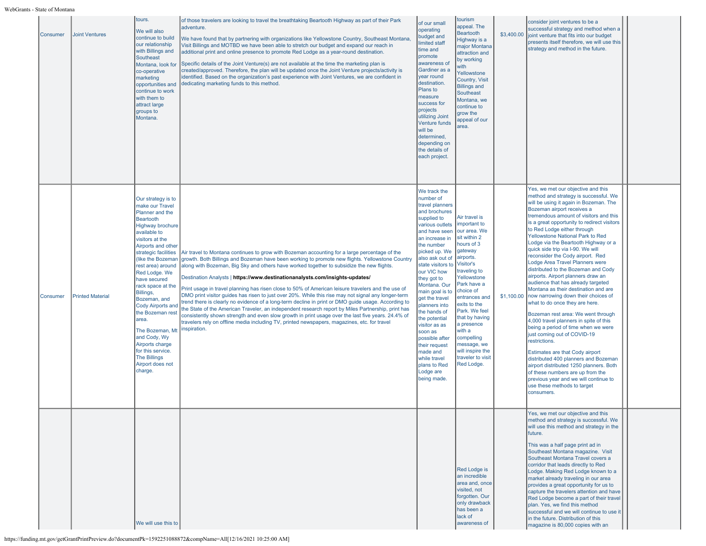| Consumer | <b>Joint Ventures</b>   | tours.<br>We will also<br>continue to build<br>our relationship<br>with Billings and<br>Southeast<br>Montana, look for<br>co-operative<br>marketing<br>opportunities and<br>continue to work<br>with them to<br>attract large<br>groups to<br>Montana.                                                                                                                                                                                                                                                   | of those travelers are looking to travel the breathtaking Beartooth Highway as part of their Park<br>adventure.<br>We have found that by partnering with organizations like Yellowstone Country, Southeast Montana,<br>Visit Billings and MOTBD we have been able to stretch our budget and expand our reach in<br>additional print and online presence to promote Red Lodge as a year-round destination.<br>Specific details of the Joint Venture(s) are not available at the time the marketing plan is<br>created/approved. Therefore, the plan will be updated once the Joint Venture projects/activity is<br>identified. Based on the organization's past experience with Joint Ventures, we are confident in<br>dedicating marketing funds to this method.                                                                                                                                                                                                                                                              | of our small<br>operating<br>budget and<br>limited staff<br>time and<br>promote<br>awareness of<br>Gardiner as a<br>year round<br>destination.<br>Plans to<br>measure<br>success for<br>projects<br>utilizing Joint<br><b>Venture funds</b><br>will be<br>determined,<br>depending on<br>the details of<br>each project.                                                                                                                                                              | tourism<br>appeal. The<br><b>Beartooth</b><br>Highway is a<br>major Montana<br>attraction and<br>by working<br>vith<br>Yellowstone<br>Country, Visit<br><b>Billings and</b><br>Southeast<br>Montana, we<br>continue to<br>grow the<br>appeal of our<br>area.                                                                                                | \$3,400.00 | consider joint ventures to be a<br>successful strategy and method when a<br>joint venture that fits into our budget<br>presents itself therefore, we will use this<br>strategy and method in the future.                                                                                                                                                                                                                                                                                                                                                                                                                                                                                                                                                                                                                                                                                                                                                                                                                                                                                                                       |  |
|----------|-------------------------|----------------------------------------------------------------------------------------------------------------------------------------------------------------------------------------------------------------------------------------------------------------------------------------------------------------------------------------------------------------------------------------------------------------------------------------------------------------------------------------------------------|-------------------------------------------------------------------------------------------------------------------------------------------------------------------------------------------------------------------------------------------------------------------------------------------------------------------------------------------------------------------------------------------------------------------------------------------------------------------------------------------------------------------------------------------------------------------------------------------------------------------------------------------------------------------------------------------------------------------------------------------------------------------------------------------------------------------------------------------------------------------------------------------------------------------------------------------------------------------------------------------------------------------------------|---------------------------------------------------------------------------------------------------------------------------------------------------------------------------------------------------------------------------------------------------------------------------------------------------------------------------------------------------------------------------------------------------------------------------------------------------------------------------------------|-------------------------------------------------------------------------------------------------------------------------------------------------------------------------------------------------------------------------------------------------------------------------------------------------------------------------------------------------------------|------------|--------------------------------------------------------------------------------------------------------------------------------------------------------------------------------------------------------------------------------------------------------------------------------------------------------------------------------------------------------------------------------------------------------------------------------------------------------------------------------------------------------------------------------------------------------------------------------------------------------------------------------------------------------------------------------------------------------------------------------------------------------------------------------------------------------------------------------------------------------------------------------------------------------------------------------------------------------------------------------------------------------------------------------------------------------------------------------------------------------------------------------|--|
| Consumer | <b>Printed Material</b> | Our strategy is to<br>make our Travel<br>Planner and the<br><b>Beartooth</b><br><b>Highway brochure</b><br>available to<br>visitors at the<br>Airports and other<br>strategic facilities<br>(like the Bozeman<br>rest area) around<br>Red Lodge. We<br>have secured<br>rack space at the<br>Billings,<br>Bozeman, and<br>Cody Airports and<br>the Bozeman rest<br>area.<br>The Bozeman, Mt<br>and Cody, Wy<br>Airports charge<br>for this service.<br><b>The Billings</b><br>Airport does not<br>charge. | Air travel to Montana continues to grow with Bozeman accounting for a large percentage of the<br>growth. Both Billings and Bozeman have been working to promote new flights. Yellowstone Country<br>along with Bozeman, Big Sky and others have worked together to subsidize the new flights.<br>Destination Analysts   https://www.destinationanalysts.com/insights-updates/<br>Print usage in travel planning has risen close to 50% of American leisure travelers and the use of<br>DMO print visitor guides has risen to just over 20%. While this rise may not signal any longer-term<br>trend there is clearly no evidence of a long-term decline in print or DMO guide usage. According to<br>the State of the American Traveler, an independent research report by Miles Partnership, print has<br>consistently shown strength and even slow growth in print usage over the last five years. 24.4% of<br>travelers rely on offline media including TV, printed newspapers, magazines, etc. for travel<br>inspiration. | We track the<br>number of<br>travel planners<br>and brochures<br>supplied to<br>various outlets<br>and have seen<br>an increase in<br>the number<br>picked up. We<br>also ask out of<br>state visitors to<br>our VIC how<br>they got to<br>Montana. Our<br>main goal is to<br>get the travel<br>planners into<br>the hands of<br>the potential<br>visitor as as<br>soon as<br>possible after<br>their request<br>made and<br>while travel<br>plans to Red<br>Lodge are<br>being made. | Air travel is<br>important to<br>our area. We<br>sit within 2<br>hours of 3<br>gateway<br>airports.<br>Visitor's<br>traveling to<br>Yellowstone<br>Park have a<br>choice of<br>entrances and<br>exits to the<br>Park. We feel<br>that by having<br>a presence<br>with a<br>compelling<br>message, we<br>will inspire the<br>traveler to visit<br>Red Lodge. | \$1,100.00 | Yes, we met our objective and this<br>method and strategy is successful. We<br>will be using it again in Bozeman. The<br>Bozeman airport receives a<br>tremendous amount of visitors and this<br>is a great opportunity to redirect visitors<br>to Red Lodge either through<br>Yellowstone National Park to Red<br>Lodge via the Beartooth Highway or a<br>quick side trip via I-90. We will<br>reconsider the Cody airport. Red<br>Lodge Area Travel Planners were<br>distributed to the Bozeman and Cody<br>airports. Airport planners draw an<br>audience that has already targeted<br>Montana as their destination and are<br>now narrowing down their choices of<br>what to do once they are here.<br>Bozeman rest area: We went through<br>4,000 travel planners in spite of this<br>being a period of time when we were<br>just coming out of COVID-19<br>restrictions.<br>Estimates are that Cody airport<br>distributed 400 planners and Bozeman<br>airport distributed 1250 planners. Both<br>of these numbers are up from the<br>previous year and we will continue to<br>use these methods to target<br>consumers. |  |
|          |                         | We will use this to                                                                                                                                                                                                                                                                                                                                                                                                                                                                                      |                                                                                                                                                                                                                                                                                                                                                                                                                                                                                                                                                                                                                                                                                                                                                                                                                                                                                                                                                                                                                               |                                                                                                                                                                                                                                                                                                                                                                                                                                                                                       | <b>Red Lodge is</b><br>an incredible<br>area and, once<br>visited, not<br>forgotten. Our<br>only drawback<br>has been a<br>lack of<br>awareness of                                                                                                                                                                                                          |            | Yes, we met our objective and this<br>method and strategy is successful. We<br>will use this method and strategy in the<br>Ifuture.<br>This was a half page print ad in<br>Southeast Montana magazine. Visit<br>Southeast Montana Travel covers a<br>corridor that leads directly to Red<br>Lodge. Making Red Lodge known to a<br>market already traveling in our area<br>provides a great opportunity for us to<br>capture the travelers attention and have<br>Red Lodge become a part of their travel<br>plan. Yes, we find this method<br>successful and we will continue to use it<br>In the future. Distribution of this<br>magazine is 80,000 copies with an                                                                                                                                                                                                                                                                                                                                                                                                                                                             |  |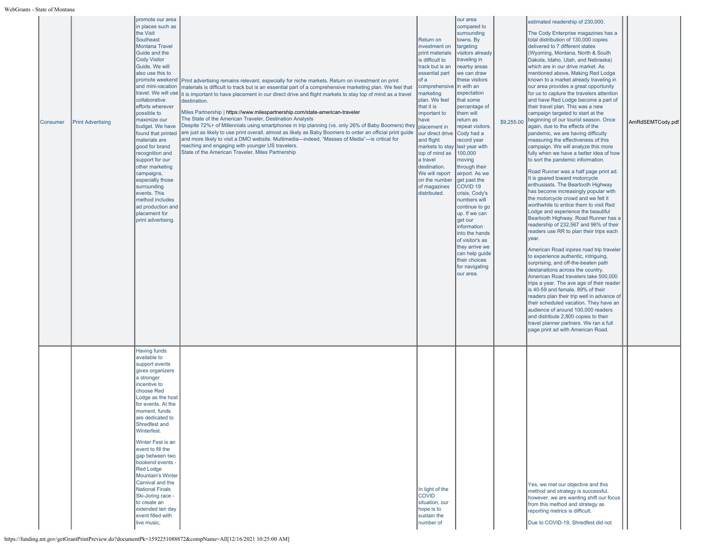| Consumer | <b>Print Advertising</b> | promote our area<br>in places such as<br>the Visit<br>Southeast<br><b>Montana Travel</b><br>Guide and the<br><b>Cody Visitor</b><br>Guide. We will<br>also use this to<br>promote weekend<br>and mini-vacation<br>travel. We will use<br>collaborative<br>efforts wherever<br>possible to<br>maximize our<br>budget. We have<br>found that printed<br>materials are<br>good for brand<br>recognition and<br>support for our<br>other marketing<br>campaigns,<br>especially those<br>surrounding<br>events. This<br>method includes<br>ad production and<br>placement for<br>print advertising. | Print advertising remains relevant, especially for niche markets. Return on investment on print<br>materials is difficult to track but is an essential part of a comprehensive marketing plan. We feel that<br>it is important to have placement in our direct drive and flight markets to stay top of mind as a travel<br>destination.<br>Miles Partnership   https://www.milespartnership.com/state-american-traveler<br>The State of the American Traveler, Destination Analysts<br>Despite 72%+ of Millennials using smartphones in trip planning (vs. only 26% of Baby Boomers) they<br>are just as likely to use print overall, almost as likely as Baby Boomers to order an official print guide<br>and more likely to visit a DMO website. Multimedia—indeed, "Masses of Media"—is critical for<br>reaching and engaging with younger US travelers.<br>State of the American Traveler, Miles Partnership | Return on<br>linvestment on<br>print materials<br>is difficult to<br>track but is an<br>essential part<br>of a<br>comprehensive<br>marketing<br>plan. We feel<br>that it is<br>important to<br>have<br>placement in<br>our direct drive<br>and flight<br>markets to stay last year with<br>top of mind as<br>a travel<br>destination.<br>We will report<br>on the number<br>of magazines<br>distributed. | lour area<br>compared to<br>surrounding<br>towns. By<br>targeting<br>visitors already<br>traveling in<br>nearby areas<br>we can draw<br>these visitors<br>in with an<br>expectation<br>that some<br>percentage of<br>them will<br>return as<br>repeat visitors.<br>Cody had a<br>record year<br>100,000<br>moving<br>through their<br>airport. As we<br>get past the<br>COVID <sub>19</sub><br>crisis, Cody's<br>numbers will<br>continue to go<br>up. If we can<br>get our<br>information<br>into the hands<br>of visitor's as<br>they arrive we<br>can help guide<br>their choices<br>for navigating<br>our area. | \$9,255.00 | estimated readership of 230,000.<br>The Cody Enterprise magazines has a<br>total distribution of 130,000 copies<br>delivered to 7 different states<br>(Wyoming, Montana, North & South<br>Dakota, Idaho, Utah, and Nebraska)<br>which are in our drive market. As<br>mentioned above, Making Red Lodge<br>known to a market already traveling in<br>our area provides a great opportunity<br>for us to capture the travelers attention<br>and have Red Lodge become a part of<br>their travel plan. This was a new<br>campaign targeted to start at the<br>beginning of our tourist season. Once<br>again, due to the effects of the<br>pandemic, we are having difficulty<br>measuring the effectiveness of this<br>campaign. We will analyze this more<br>fully when we have a better idea of how<br>to sort the pandemic information.<br>Road Runner was a half page print ad.<br>It is geared toward motorcycle<br>enthusiasts. The Beartooth Highway<br>has become increasingly popular with<br>the motorcycle crowd and we felt it<br>worthwhile to entice them to visit Red<br>Lodge and experience the beautiful<br>Beartooth Highway. Road Runner has a<br>readership of 232,567 and 96% of their<br>readers use RR to plan their trips each<br>year.<br>American Road inpires road trip traveler<br>to experience authentic, intriguing,<br>surprising, and off-the-beaten path<br>destanations across the country.<br>American Road travelers take 500,000<br>trips a year. The ave age of their reader<br>is 40-59 and female. 89% of their<br>readers plan their trip well in advance of<br>their scheduled vacation. They have an<br>audience of around 100,000 readers<br>and distribute 2,800 copies to their<br>travel planner partners. We ran a full<br>page print ad with American Road. | AmRdSEMTCody.pdf |
|----------|--------------------------|------------------------------------------------------------------------------------------------------------------------------------------------------------------------------------------------------------------------------------------------------------------------------------------------------------------------------------------------------------------------------------------------------------------------------------------------------------------------------------------------------------------------------------------------------------------------------------------------|------------------------------------------------------------------------------------------------------------------------------------------------------------------------------------------------------------------------------------------------------------------------------------------------------------------------------------------------------------------------------------------------------------------------------------------------------------------------------------------------------------------------------------------------------------------------------------------------------------------------------------------------------------------------------------------------------------------------------------------------------------------------------------------------------------------------------------------------------------------------------------------------------------------|----------------------------------------------------------------------------------------------------------------------------------------------------------------------------------------------------------------------------------------------------------------------------------------------------------------------------------------------------------------------------------------------------------|---------------------------------------------------------------------------------------------------------------------------------------------------------------------------------------------------------------------------------------------------------------------------------------------------------------------------------------------------------------------------------------------------------------------------------------------------------------------------------------------------------------------------------------------------------------------------------------------------------------------|------------|--------------------------------------------------------------------------------------------------------------------------------------------------------------------------------------------------------------------------------------------------------------------------------------------------------------------------------------------------------------------------------------------------------------------------------------------------------------------------------------------------------------------------------------------------------------------------------------------------------------------------------------------------------------------------------------------------------------------------------------------------------------------------------------------------------------------------------------------------------------------------------------------------------------------------------------------------------------------------------------------------------------------------------------------------------------------------------------------------------------------------------------------------------------------------------------------------------------------------------------------------------------------------------------------------------------------------------------------------------------------------------------------------------------------------------------------------------------------------------------------------------------------------------------------------------------------------------------------------------------------------------------------------------------------------------------------------------------------------------------------------------------------------------------------------------------|------------------|
|          |                          | <b>Having funds</b><br>available to<br>support events<br>gives organizers<br>a stronger<br>incentive to<br>choose Red<br>Lodge as the host<br>for events. At the<br>moment, funds<br>are dedicated to<br>Shredfest and<br>Winterfest.<br>Winter Fest is an<br>event to fill the<br>gap between two<br>bookend events -<br><b>Red Lodge</b><br><b>Mountain's Winter</b><br>Carnival and the<br><b>National Finals</b><br>Ski-Joring race -<br>to create an<br>extended ten day<br>event filled with<br>live music,                                                                              |                                                                                                                                                                                                                                                                                                                                                                                                                                                                                                                                                                                                                                                                                                                                                                                                                                                                                                                  | In light of the<br><b>COVID</b><br>situation, our<br>hope is to<br>sustain the<br>number of                                                                                                                                                                                                                                                                                                              |                                                                                                                                                                                                                                                                                                                                                                                                                                                                                                                                                                                                                     |            | Yes, we met our objective and this<br>method and strategy is successful,<br>however, we are wanting shift our focus<br>from this method and strategy as<br>reporting metrics is difficult.<br>Due to COVID-19, Shredfest did not                                                                                                                                                                                                                                                                                                                                                                                                                                                                                                                                                                                                                                                                                                                                                                                                                                                                                                                                                                                                                                                                                                                                                                                                                                                                                                                                                                                                                                                                                                                                                                             |                  |

https://funding.mt.gov/getGrantPrintPreview.do?documentPk=1592251088872&compName=All[12/16/2021 10:25:00 AM]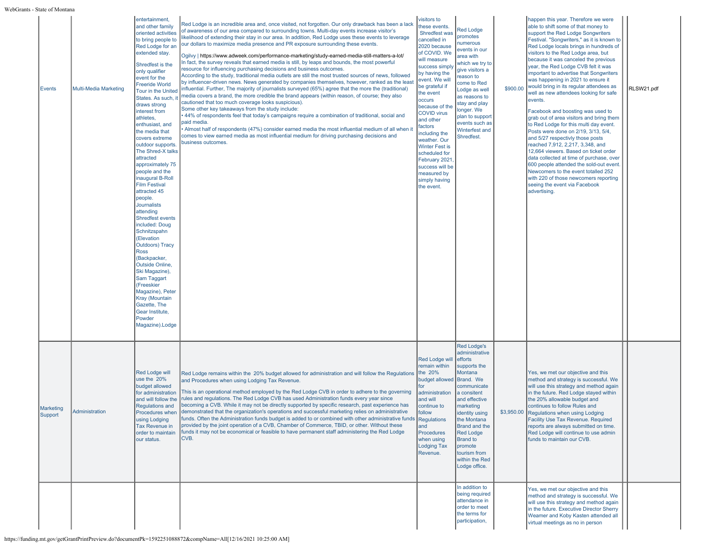| s - State of Montan  |                       |                                                                                                                                                                                                                                                                                                                                                                                                                                                                                                                                                                                                                                                                                                                                                                                                                                                                            |                                                                                                                                                                                                                                                                                                                                                                                                                                                                                                                                                                                                                                                                                                                                                                                                                                                                                                                                                                                                                                                                                                                                                                                                                                                                                                                                                                                                                                                                                                                                                          |                                                                                                                                                                                                                                                                                                                                                                                                                                          |                                                                                                                                                                                                                                                                                                            |          |                                                                                                                                                                                                                                                                                                                                                                                                                                                                                                                                                                                                                                                                                                                                                                                                                                                                                                                                                                                                                           |            |
|----------------------|-----------------------|----------------------------------------------------------------------------------------------------------------------------------------------------------------------------------------------------------------------------------------------------------------------------------------------------------------------------------------------------------------------------------------------------------------------------------------------------------------------------------------------------------------------------------------------------------------------------------------------------------------------------------------------------------------------------------------------------------------------------------------------------------------------------------------------------------------------------------------------------------------------------|----------------------------------------------------------------------------------------------------------------------------------------------------------------------------------------------------------------------------------------------------------------------------------------------------------------------------------------------------------------------------------------------------------------------------------------------------------------------------------------------------------------------------------------------------------------------------------------------------------------------------------------------------------------------------------------------------------------------------------------------------------------------------------------------------------------------------------------------------------------------------------------------------------------------------------------------------------------------------------------------------------------------------------------------------------------------------------------------------------------------------------------------------------------------------------------------------------------------------------------------------------------------------------------------------------------------------------------------------------------------------------------------------------------------------------------------------------------------------------------------------------------------------------------------------------|------------------------------------------------------------------------------------------------------------------------------------------------------------------------------------------------------------------------------------------------------------------------------------------------------------------------------------------------------------------------------------------------------------------------------------------|------------------------------------------------------------------------------------------------------------------------------------------------------------------------------------------------------------------------------------------------------------------------------------------------------------|----------|---------------------------------------------------------------------------------------------------------------------------------------------------------------------------------------------------------------------------------------------------------------------------------------------------------------------------------------------------------------------------------------------------------------------------------------------------------------------------------------------------------------------------------------------------------------------------------------------------------------------------------------------------------------------------------------------------------------------------------------------------------------------------------------------------------------------------------------------------------------------------------------------------------------------------------------------------------------------------------------------------------------------------|------------|
| <b>Events</b>        | Multi-Media Marketing | entertainment,<br>and other family<br>oriented activities<br>to bring people to<br>Red Lodge for an<br>extended stay<br>Shredfest is the<br>only qualifier<br>event for the<br><b>Freeride World</b><br>Tour in the United<br>States, As such, it<br>draws strong<br>interest from<br>athletes,<br>enthusiast, and<br>the media that<br>covers extreme<br>outdoor supports.<br>The Shred-X talks<br>attracted<br>approximately 75<br>people and the<br>inaugural B-Roll<br><b>Film Festival</b><br>attracted 45<br>people.<br><b>Journalists</b><br>attending<br><b>Shredfest events</b><br>included: Doug<br>Schnitzspahn<br>(Elevation<br><b>Outdoors</b> ) Tracy<br><b>Ross</b><br>(Backpacker,<br>Outside Online,<br>Ski Magazine),<br>Sam Taggart<br>(Freeskier<br>Magazine), Peter<br>Kray (Mountain<br>Gazette, The<br>Gear Institute,<br>Powder<br>Magazine).Lodge | Red Lodge is an incredible area and, once visited, not forgotten. Our only drawback has been a lack<br>of awareness of our area compared to surrounding towns. Multi-day events increase visitor's<br>likelihood of extending their stay in our area. In addition, Red Lodge uses these events to leverage<br>our dollars to maximize media presence and PR exposure surrounding these events.<br>Ogilvy   https://www.adweek.com/performance-marketing/study-earned-media-still-matters-a-lot/<br>In fact, the survey reveals that earned media is still, by leaps and bounds, the most powerful<br>resource for influencing purchasing decisions and business outcomes.<br>According to the study, traditional media outlets are still the most trusted sources of news, followed<br>by influencer-driven news. News generated by companies themselves, however, ranked as the least<br>influential. Further, The majority of journalists surveyed (65%) agree that the more the (traditional)<br>nedia covers a brand, the more credible the brand appears (within reason, of course; they also<br>cautioned that too much coverage looks suspicious).<br>Some other key takeaways from the study include:<br>44% of respondents feel that today's campaigns require a combination of traditional, social and<br>paid media.<br>Almost half of respondents (47%) consider earned media the most influential medium of all when it<br>comes to view earned media as most influential medium for driving purchasing decisions and<br>business outcomes. | visitors to<br>these events.<br>Shredfest was<br>cancelled in<br>2020 because<br>of COVID. We<br>will measure<br>success simply<br>by having the<br>event. We will<br>be grateful if<br>the event<br>occurs<br>because of the<br><b>COVID virus</b><br>and other<br>factors<br>including the<br>weather. Our<br><b>Winter Fest is</b><br>scheduled for<br>February 2021<br>success will be<br>measured by<br>simply having<br>the event. | <b>Red Lodge</b><br>promotes<br>numerous<br>events in our<br>area with<br>which we try to<br>give visitors a<br>reason to<br>come to Red<br>Lodge as well<br>as reasons to<br>stay and play<br>longer. We<br>plan to support<br>events such as<br>Winterfest and<br>Shredfest.                             | \$900.00 | happen this year. Therefore we were<br>able to shift some of that money to<br>support the Red Lodge Songwriters<br>Festival. "Songwriters," as it is known to<br>Red Lodge locals brings in hundreds of<br>visitors to the Red Lodge area, but<br>because it was canceled the previous<br>year, the Red Lodge CVB felt it was<br>important to advertise that Songwriters<br>was happening in 2021 to ensure it<br>would bring in its regular attendees as<br>well as new attendees looking for safe<br>events.<br>Facebook and boosting was used to<br>grab out of area visitors and bring them<br>to Red Lodge for this multi day event.<br>Posts were done on 2/19, 3/13, 5/4,<br>and 5/27 respectivly those posts<br>reached 7,912, 2,217, 3,348, and<br>12,664 viewers. Based on ticket order<br>data collected at time of purchase, over<br>600 people attended the sold-out event.<br>Newcomers to the event totalled 252<br>with 220 of those newcomers reporting<br>seeing the event via Facebook<br>advertising. | RLSW21.pdf |
| Marketing<br>Support | Administration        | <b>Red Lodge will</b><br>use the 20%<br>budget allowed<br>for administration<br>and will follow the<br>Regulations and<br>Procedures when<br>using Lodging<br>Tax Revenue in<br>order to maintain<br>our status.                                                                                                                                                                                                                                                                                                                                                                                                                                                                                                                                                                                                                                                           | Red Lodge remains within the 20% budget allowed for administration and will follow the Regulations<br>and Procedures when using Lodging Tax Revenue.<br>This is an operational method employed by the Red Lodge CVB in order to adhere to the governing<br>rules and regulations. The Red Lodge CVB has used Administration funds every year since<br>becoming a CVB. While it may not be directly supported by specific research, past experience has<br>demonstrated that the organization's operations and successful marketing relies on administrative<br>funds. Often the Administration funds budget is added to or combined with other administrative funds Regulations<br>provided by the joint operation of a CVB, Chamber of Commerce, TBID, or other. Without these<br>funds it may not be economical or feasible to have permanent staff administering the Red Lodge<br>CVB.                                                                                                                                                                                                                                                                                                                                                                                                                                                                                                                                                                                                                                                                | Red Lodge will<br>remain within<br>the 20%<br>budget allowed<br>for<br>administration<br>and will<br>continue to<br>follow<br>and<br>Procedures<br>when using<br><b>Lodging Tax</b><br>Revenue.                                                                                                                                                                                                                                          | <b>Red Lodge's</b><br>administrative<br>efforts<br>supports the<br>Montana<br>Brand. We<br>communicate<br>a consitent<br>and effective<br>marketing<br>identity using<br>the Montana<br>Brand and the<br><b>Red Lodge</b><br><b>Brand to</b><br>promote<br>tourism from<br>within the Red<br>Lodge office. |          | Yes, we met our objective and this<br>method and strategy is successful. We<br>will use this strategy and method again<br>in the future. Red Lodge stayed within<br>the 20% allowable budget and<br>continues to follow Rules and<br>\$3,950.00 Regulations when using Lodging<br>Facility Use Tax Revenue. Required<br>reports are always submitted on time.<br>Red Lodge will continue to use admin<br>funds to maintain our CVB.                                                                                                                                                                                                                                                                                                                                                                                                                                                                                                                                                                                       |            |
|                      |                       |                                                                                                                                                                                                                                                                                                                                                                                                                                                                                                                                                                                                                                                                                                                                                                                                                                                                            |                                                                                                                                                                                                                                                                                                                                                                                                                                                                                                                                                                                                                                                                                                                                                                                                                                                                                                                                                                                                                                                                                                                                                                                                                                                                                                                                                                                                                                                                                                                                                          |                                                                                                                                                                                                                                                                                                                                                                                                                                          | In addition to<br>being required<br>attendance in<br>order to meet<br>the terms for<br>participation,                                                                                                                                                                                                      |          | Yes, we met our objective and this<br>method and strategy is successful. We<br>will use this strategy and method again<br>in the future. Executive Director Sherry<br>Weamer and Koby Kasten attended all<br>virtual meetings as no in person                                                                                                                                                                                                                                                                                                                                                                                                                                                                                                                                                                                                                                                                                                                                                                             |            |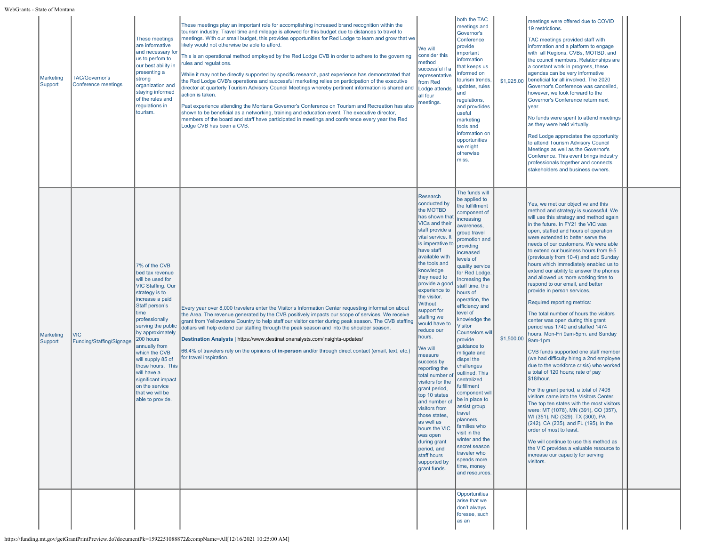WebGrants - State of Monta

| s - State of Montana        |                                              |                                                                                                                                                                                                                                                                                                                                                                                                    |                                                                                                                                                                                                                                                                                                                                                                                                                                                                                                                                                                                                                                                                                                                                                                                                                                                                                                                                                                                                                                                                                                                                                                 |                                                                                                                                                                                                                                                                                                                                                                                                                                                                                                                                                                                                                                                                          |                                                                                                                                                                                                                                                                                                                                                                                                                                                                                                                                                                                                                                                                                                    |            |                                                                                                                                                                                                                                                                                                                                                                                                                                                                                                                                                                                                                                                                                                                                                                                                                                                                                                                                                                                                                                                                                                                                                                                                                                                                                                                                                                                |  |
|-----------------------------|----------------------------------------------|----------------------------------------------------------------------------------------------------------------------------------------------------------------------------------------------------------------------------------------------------------------------------------------------------------------------------------------------------------------------------------------------------|-----------------------------------------------------------------------------------------------------------------------------------------------------------------------------------------------------------------------------------------------------------------------------------------------------------------------------------------------------------------------------------------------------------------------------------------------------------------------------------------------------------------------------------------------------------------------------------------------------------------------------------------------------------------------------------------------------------------------------------------------------------------------------------------------------------------------------------------------------------------------------------------------------------------------------------------------------------------------------------------------------------------------------------------------------------------------------------------------------------------------------------------------------------------|--------------------------------------------------------------------------------------------------------------------------------------------------------------------------------------------------------------------------------------------------------------------------------------------------------------------------------------------------------------------------------------------------------------------------------------------------------------------------------------------------------------------------------------------------------------------------------------------------------------------------------------------------------------------------|----------------------------------------------------------------------------------------------------------------------------------------------------------------------------------------------------------------------------------------------------------------------------------------------------------------------------------------------------------------------------------------------------------------------------------------------------------------------------------------------------------------------------------------------------------------------------------------------------------------------------------------------------------------------------------------------------|------------|--------------------------------------------------------------------------------------------------------------------------------------------------------------------------------------------------------------------------------------------------------------------------------------------------------------------------------------------------------------------------------------------------------------------------------------------------------------------------------------------------------------------------------------------------------------------------------------------------------------------------------------------------------------------------------------------------------------------------------------------------------------------------------------------------------------------------------------------------------------------------------------------------------------------------------------------------------------------------------------------------------------------------------------------------------------------------------------------------------------------------------------------------------------------------------------------------------------------------------------------------------------------------------------------------------------------------------------------------------------------------------|--|
| <b>Marketing</b><br>Support | <b>TAC/Governor's</b><br>Conference meetings | These meetings<br>are informative<br>and necessary for<br>us to perfom to<br>our best ability in<br>presenting a<br>strong<br>organization and<br>staying informed<br>of the rules and<br>regulations in<br>tourism.                                                                                                                                                                               | These meetings play an important role for accomplishing increased brand recognition within the<br>tourism industry. Travel time and mileage is allowed for this budget due to distances to travel to<br>meetings. With our small budget, this provides opportunities for Red Lodge to learn and grow that we<br>likely would not otherwise be able to afford.<br>This is an operational method employed by the Red Lodge CVB in order to adhere to the governing<br>ules and regulations.<br>While it may not be directly supported by specific research, past experience has demonstrated that<br>he Red Lodge CVB's operations and successful marketing relies on participation of the executive<br>director at quarterly Tourism Advisory Council Meetings whereby pertinent information is shared and<br>action is taken.<br>Past experience attending the Montana Governor's Conference on Tourism and Recreation has also<br>shown to be beneficial as a networking, training and education event. The executive director,<br>members of the board and staff have participated in meetings and conference every year the Red<br>Lodge CVB has been a CVB. | We will<br>consider this<br>nethod<br>successful if a<br>epresentative<br>from Red<br>Lodge attends<br>all four<br>neetings.                                                                                                                                                                                                                                                                                                                                                                                                                                                                                                                                             | both the TAC<br>meetings and<br>Governor's<br>Conference<br>provide<br>mportant<br>information<br>that keeps us<br>nformed on<br>tourism trends<br>updates, rules<br>and<br>regulations,<br>and provdides<br>useful<br>marketing<br>tools and<br>information on<br>opportunities<br>we might<br>otherwise<br>miss.                                                                                                                                                                                                                                                                                                                                                                                 | \$1,925.00 | meetings were offered due to COVID<br>19 restrictions.<br>TAC meetings provided staff with<br>information and a platform to engage<br>with all Regions, CVBs, MOTBD, and<br>the council members. Relationships are<br>a constant work in progress, these<br>agendas can be very informative<br>beneficial for all involved. The 2020<br>Governor's Conference was cancelled,<br>however, we look forward to the<br>Governor's Conference return next<br>year.<br>No funds were spent to attend meetings<br>as they were held virtually.<br>Red Lodge appreciates the opportunity<br>to attend Tourism Advisory Council<br>Meetings as well as the Governor's<br>Conference. This event brings industry<br>professionals together and connects<br>stakeholders and business owners.                                                                                                                                                                                                                                                                                                                                                                                                                                                                                                                                                                                             |  |
| <b>Marketing</b><br>Support | <b>VIC</b><br>Funding/Staffing/Signage       | 7% of the CVB<br>bed tax revenue<br>will be used for<br><b>VIC Staffing. Our</b><br>strategy is to<br>increase a paid<br>Staff person's<br>time<br>professionally<br>serving the public<br>by approximately<br>200 hours<br>annually from<br>which the CVB<br>will supply 85 of<br>those hours. This<br>will have a<br>significant impact<br>on the service<br>that we will be<br>able to provide. | Every year over 8,000 travelers enter the Visitor's Information Center requesting information about<br>the Area. The revenue generated by the CVB positively impacts our scope of services. We receive<br>grant from Yellowstone Country to help staff our visitor center during peak season. The CVB staffing<br>dollars will help extend our staffing through the peak season and into the shoulder season.<br>Destination Analysts   https://www.destinationanalysts.com/insights-updates/<br>66.4% of travelers rely on the opinions of in-person and/or through direct contact (email, text, etc.)<br>for travel inspiration.                                                                                                                                                                                                                                                                                                                                                                                                                                                                                                                              | Research<br>conducted by<br>the MOTBD<br>has shown that<br><b>VICs and their</b><br>staff provide a<br>vital service. It<br>is imperative to<br>have staff<br>available with<br>the tools and<br>knowledge<br>they need to<br>provide a good<br>experience to<br>the visitor.<br>Without<br>support for<br>staffing we<br>would have to<br>reduce our<br>hours.<br>We will<br>measure<br>success by<br>reporting the<br>total number o<br>visitors for the<br>grant period,<br>top 10 states<br>and number of<br>visitors from<br>those states,<br>as well as<br>hours the VIC<br>was open<br>during grant<br>period, and<br>staff hours<br>supported by<br>grant funds. | The funds will<br>be applied to<br>the fulfillment<br>component of<br>ncreasing<br>awareness,<br>group travel<br>promotion and<br>providing<br>increased<br>levels of<br>quality service<br>for Red Lodge.<br>Increasing the<br>staff time, the<br>nours of<br>operation, the<br>efficiency and<br>level of<br>knowledge the<br>Visitor<br><b>Counselors wil</b><br>provide<br>quidance to<br>mitigate and<br>dispel the<br>challenges<br>outlined. This<br>centralized<br>ulfillment<br>component wil<br>be in place to<br>assist group<br>travel<br>planners.<br>families who<br>visit in the<br>winter and the<br>secret season<br>traveler who<br>spends more<br>time, money<br>and resources. | \$1,500.00 | Yes, we met our objective and this<br>method and strategy is successful. We<br>will use this strategy and method again<br>in the future. In FY21 the VIC was<br>open, staffed and hours of operation<br>were extended to better serve the<br>needs of our customers. We were able<br>to extend our business hours from 9-5<br>(previously from 10-4) and add Sunday<br>hours which immediately enabled us to<br>extend our ability to answer the phones<br>and allowed us more working time to<br>respond to our email, and better<br>provide in person services.<br>Required reporting metrics:<br>The total number of hours the visitors<br>center was open during this grant<br>period was 1740 and staffed 1474<br>hours. Mon-Fri 9am-5pm. and Sunday<br>9am-1pm<br>CVB funds supported one staff member<br>(we had difficulty hiring a 2nd employee<br>due to the workforce crisis) who worked<br>a total of 120 hours; rate of pay<br>\$18/hour.<br>For the grant period, a total of 7406<br>visitors came into the Visitors Center.<br>The top ten states with the most visitors<br>were: MT (1078), MN (391), CO (357),<br>WI (351), ND (329), TX (300), PA<br>(242), CA (235), and FL (195), in the<br>order of most to least.<br>We will continue to use this method as<br>the VIC provides a valuable resource to<br>increase our capacity for serving<br>visitors. |  |
|                             |                                              |                                                                                                                                                                                                                                                                                                                                                                                                    |                                                                                                                                                                                                                                                                                                                                                                                                                                                                                                                                                                                                                                                                                                                                                                                                                                                                                                                                                                                                                                                                                                                                                                 |                                                                                                                                                                                                                                                                                                                                                                                                                                                                                                                                                                                                                                                                          | Opportunities<br>arise that we<br>don't always<br>foresee, such<br>as an                                                                                                                                                                                                                                                                                                                                                                                                                                                                                                                                                                                                                           |            |                                                                                                                                                                                                                                                                                                                                                                                                                                                                                                                                                                                                                                                                                                                                                                                                                                                                                                                                                                                                                                                                                                                                                                                                                                                                                                                                                                                |  |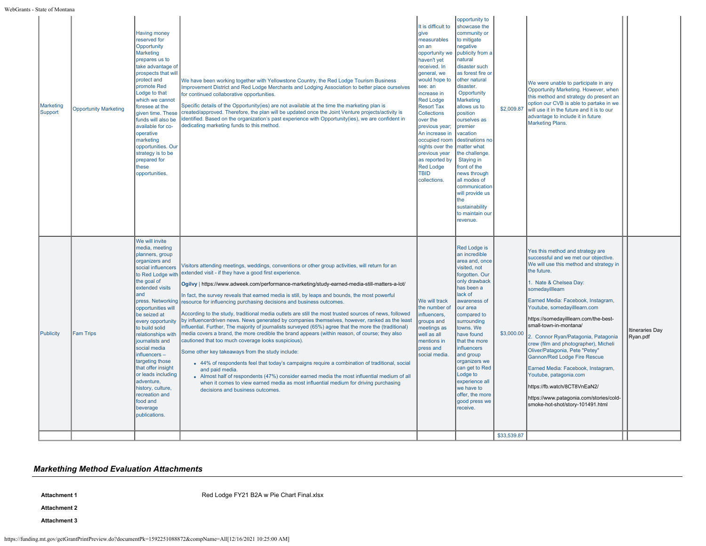| Marketing<br>Support | <b>Opportunity Marketing</b> | <b>Having money</b><br>reserved for<br>Opportunity<br>Marketing<br>prepares us to<br>take advantage of<br>prospects that will<br>protect and<br>promote Red<br>Lodge to that<br>which we cannot<br>foresee at the<br>given time. These<br>funds will also be<br>available for co-<br>operative<br>marketing<br>opportunities. Our<br>strategy is to be<br>prepared for<br>these<br>opportunities                                                                                                    | We have been working together with Yellowstone Country, the Red Lodge Tourism Business<br>Improvement District and Red Lodge Merchants and Lodging Association to better place ourselves<br>for continued collaborative opportunities.<br>Specific details of the Opportunity(ies) are not available at the time the marketing plan is<br>created/approved. Therefore, the plan will be updated once the Joint Venture projects/activity is<br>identified. Based on the organization's past experience with Opportunity(ies), we are confident in<br>dedicating marketing funds to this method.                                                                                                                                                                                                                                                                                                                                                                                                                                                                                                                                                                                                                                                                                                                         | It is difficult to<br>give<br>measurables<br>on an<br>opportunity we<br>haven't yet<br>received. In<br>general, we<br>would hope to<br>see: an<br>ncrease in<br><b>Red Lodge</b><br><b>Resort Tax</b><br>Collections<br>over the<br>previous year;<br>An increase in<br>occupied room<br>nights over the<br>previous year<br>as reported by<br><b>Red Lodge</b><br><b>TBID</b><br>collections. | opportunity to<br>showcase the<br>community or<br>to mitigate<br>negative<br>publicity from a<br>natural<br>disaster such<br>as forest fire or<br>other natural<br>disaster.<br>Opportunity<br>Marketing<br>allows us to<br>position<br>ourselves as<br><b>premier</b><br>vacation<br>destinations no<br>matter what<br>the challenge.<br>Staying in<br>front of the<br>news through<br>all modes of<br>communication<br>will provide us<br>the<br>sustainability<br>to maintain our<br>revenue. | \$2,009.87                | We were unable to participate in any<br>Opportunity Marketing. However, when<br>this method and strategy do present an<br>option our CVB is able to partake in we<br>will use it in the future and it is to our<br>advantage to include it in future<br><b>Marketing Plans.</b>                                                                                                                                                                                                                                                                                                                                                                           |                                    |
|----------------------|------------------------------|-----------------------------------------------------------------------------------------------------------------------------------------------------------------------------------------------------------------------------------------------------------------------------------------------------------------------------------------------------------------------------------------------------------------------------------------------------------------------------------------------------|-------------------------------------------------------------------------------------------------------------------------------------------------------------------------------------------------------------------------------------------------------------------------------------------------------------------------------------------------------------------------------------------------------------------------------------------------------------------------------------------------------------------------------------------------------------------------------------------------------------------------------------------------------------------------------------------------------------------------------------------------------------------------------------------------------------------------------------------------------------------------------------------------------------------------------------------------------------------------------------------------------------------------------------------------------------------------------------------------------------------------------------------------------------------------------------------------------------------------------------------------------------------------------------------------------------------------|------------------------------------------------------------------------------------------------------------------------------------------------------------------------------------------------------------------------------------------------------------------------------------------------------------------------------------------------------------------------------------------------|--------------------------------------------------------------------------------------------------------------------------------------------------------------------------------------------------------------------------------------------------------------------------------------------------------------------------------------------------------------------------------------------------------------------------------------------------------------------------------------------------|---------------------------|-----------------------------------------------------------------------------------------------------------------------------------------------------------------------------------------------------------------------------------------------------------------------------------------------------------------------------------------------------------------------------------------------------------------------------------------------------------------------------------------------------------------------------------------------------------------------------------------------------------------------------------------------------------|------------------------------------|
| Publicity            | <b>Fam Trips</b>             | We will invite<br>media, meeting<br>planners, group<br>organizers and<br>social influencers<br>to Red Lodge with<br>the goal of<br>extended visits<br>and<br>press. Networking<br>opportunities will<br>be seized at<br>every opportunity<br>to build solid<br>relationships with<br>journalists and<br>social media<br>$influences -$<br>targeting those<br>that offer insight<br>or leads including<br>adventure,<br>history, culture,<br>recreation and<br>food and<br>beverage<br>publications. | Visitors attending meetings, weddings, conventions or other group activities, will return for an<br>extended visit - if they have a good first experience.<br>Ogilvy   https://www.adweek.com/performance-marketing/study-earned-media-still-matters-a-lot/<br>In fact, the survey reveals that earned media is still, by leaps and bounds, the most powerful<br>resource for influencing purchasing decisions and business outcomes.<br>According to the study, traditional media outlets are still the most trusted sources of news, followed<br>by influencerdriven news. News generated by companies themselves, however, ranked as the least<br>influential. Further, The majority of journalists surveyed (65%) agree that the more the (traditional)<br>media covers a brand, the more credible the brand appears (within reason, of course; they also<br>cautioned that too much coverage looks suspicious).<br>Some other key takeaways from the study include:<br>• 44% of respondents feel that today's campaigns require a combination of traditional, social<br>and paid media.<br>• Almost half of respondents (47%) consider earned media the most influential medium of all<br>when it comes to view earned media as most influential medium for driving purchasing<br>decisions and business outcomes. | We will track<br>the number of<br>influencers,<br>groups and<br>meetings as<br>well as all<br>mentions in<br>press and<br>social media.                                                                                                                                                                                                                                                        | Red Lodge is<br>an incredible<br>area and, once<br>visited, not<br>forgotten. Our<br>only drawback<br>has been a<br>lack of<br>awareness of<br>our area<br>compared to<br>surrounding<br>towns. We<br>have found<br>that the more<br><b>influencers</b><br>and group<br>organizers we<br>can get to Red<br>Lodge to<br>experience all<br>we have to<br>offer, the more<br>good press we<br>receive.                                                                                              | \$3,000.00<br>\$33,539.87 | Yes this method and strategy are<br>successful and we met our objective.<br>We will use this method and strategy in<br>the future.<br>1. Nate & Chelsea Day:<br>somedayilllearn<br>Earned Media: Facebook, Instagram,<br>Youtube, somedayilllearn.com<br>https://somedayilllearn.com/the-best-<br>small-town-in-montana/<br>2. Connor Ryan/Patagonia, Patagonia<br>crew (film and photographer), Micheli<br>Oliver/Patagonia, Pete "Petey"<br>Gannon/Red Lodge Fire Rescue<br>Earned Media: Facebook, Instagram,<br>Youtube, patagonia.com<br>https://fb.watch/8CT8VnEaN2/<br>https://www.patagonia.com/stories/cold-<br>smoke-hot-shot/story-101491.html | <b>Itineraries Day</b><br>Ryan.pdf |

# *Markething Method Evaluation Attachments*

Attachment 1 **Attachment 1** [Red Lodge FY21 B2A w Pie Chart Final.xlsx](https://funding.mt.gov/fileDownload.jsp?filename=1635358000114_Red+Lodge+FY21+B2A+w+Pie+Chart+Final.xlsx)

**Attachment 2**

**Attachment 3**

https://funding.mt.gov/getGrantPrintPreview.do?documentPk=1592251088872&compName=All[12/16/2021 10:25:00 AM]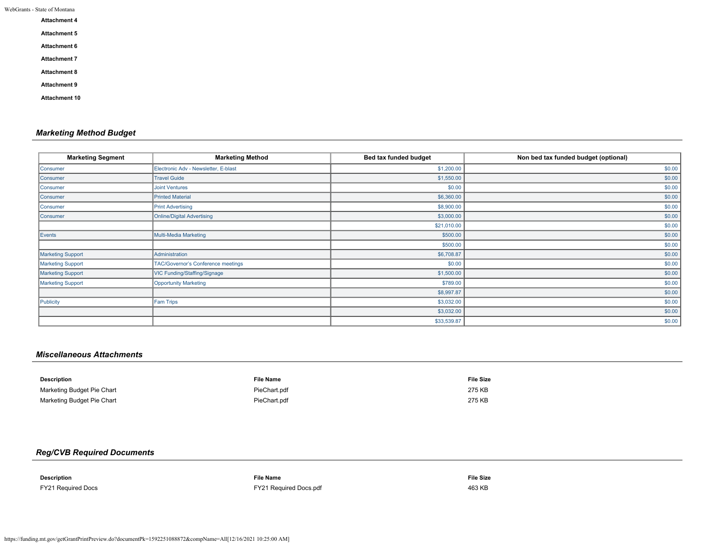|  | WebGrants - State of Montana |  |  |
|--|------------------------------|--|--|
|--|------------------------------|--|--|

| <b>Attachment 4</b>  |  |  |
|----------------------|--|--|
| <b>Attachment 5</b>  |  |  |
| <b>Attachment 6</b>  |  |  |
| <b>Attachment 7</b>  |  |  |
| <b>Attachment 8</b>  |  |  |
| <b>Attachment 9</b>  |  |  |
| <b>Attachment 10</b> |  |  |

# *Marketing Method Budget*

| <b>Marketing Segment</b> | <b>Marketing Method</b>              | Bed tax funded budget | Non bed tax funded budget (optional) |
|--------------------------|--------------------------------------|-----------------------|--------------------------------------|
| Consumer                 | Electronic Adv - Newsletter, E-blast | \$1,200.00            | \$0.00                               |
| Consumer                 | <b>Travel Guide</b>                  | \$1,550.00            | \$0.00                               |
| Consumer                 | <b>Joint Ventures</b>                | \$0.00                | \$0.00                               |
| Consumer                 | <b>Printed Material</b>              | \$6,360.00            | \$0.00                               |
| Consumer                 | <b>Print Advertising</b>             | \$8,900.00            | \$0.00                               |
| Consumer                 | Online/Digital Advertising           | \$3,000.00            | \$0.00                               |
|                          |                                      | \$21,010.00           | \$0.00                               |
| Events                   | Multi-Media Marketing                | \$500.00              | \$0.00                               |
|                          |                                      | \$500.00              | \$0.00                               |
| <b>Marketing Support</b> | Administration                       | \$6,708.87            | \$0.00                               |
| Marketing Support        | TAC/Governor's Conference meetings   | \$0.00                | \$0.00                               |
| Marketing Support        | VIC Funding/Staffing/Signage         | \$1,500.00            | \$0.00                               |
| <b>Marketing Support</b> | Opportunity Marketing                | \$789.00              | \$0.00                               |
|                          |                                      | \$8,997.87            | \$0.00                               |
| Publicity                | Fam Trips                            | \$3,032.00            | \$0.00                               |
|                          |                                      | \$3,032.00            | \$0.00                               |
|                          |                                      | \$33,539.87           | \$0.00                               |

# *Miscellaneous Attachments*

| Description                | <b>File Name</b> | <b>File Size</b> |
|----------------------------|------------------|------------------|
| Marketing Budget Pie Chart | PieChart.pdf     | 275 KB           |
| Marketing Budget Pie Chart | PieChart.pdf     | 275 KB           |

# *Reg/CVB Required Documents*

| <b>Description</b>        | <b>File Name</b>       | <b>File Size</b> |
|---------------------------|------------------------|------------------|
| $\blacksquare$            |                        |                  |
|                           |                        |                  |
| <b>FY21 Required Docs</b> | FY21 Required Docs.pdf | 463 KB           |
|                           |                        |                  |